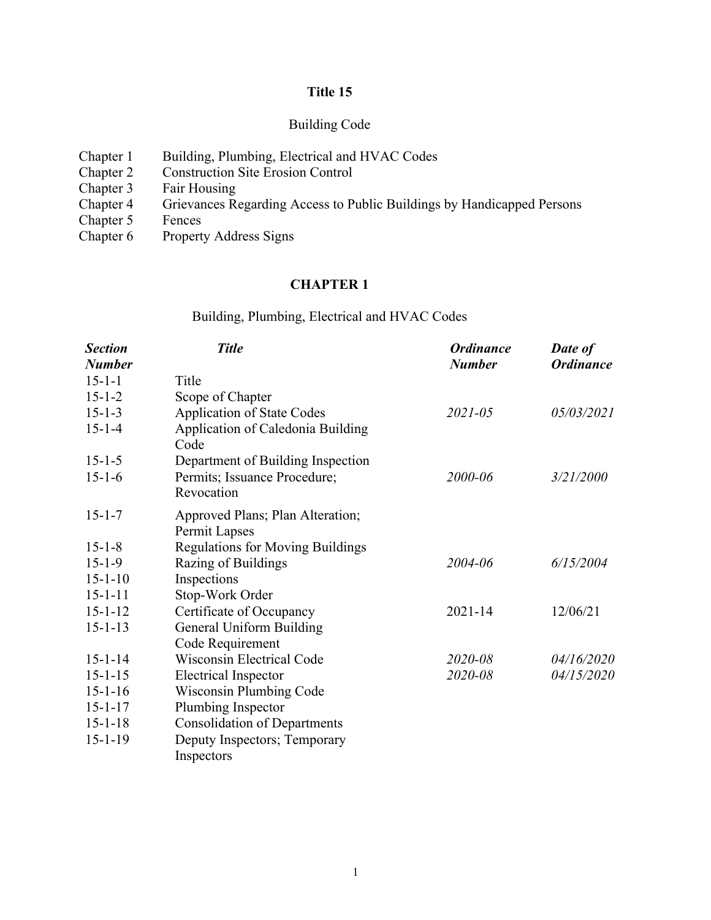# **Title 15**

# Building Code

| Chapter 1 | Building, Plumbing, Electrical and HVAC Codes                          |
|-----------|------------------------------------------------------------------------|
| Chapter 2 | <b>Construction Site Erosion Control</b>                               |
| Chapter 3 | Fair Housing                                                           |
| Chapter 4 | Grievances Regarding Access to Public Buildings by Handicapped Persons |
| Chapter 5 | Fences                                                                 |
| Chapter 6 | <b>Property Address Signs</b>                                          |

# **CHAPTER 1**

# Building, Plumbing, Electrical and HVAC Codes

| <b>Section</b> | <b>Title</b>                              | <b>Ordinance</b> | <b>Date of</b>   |
|----------------|-------------------------------------------|------------------|------------------|
| <b>Number</b>  |                                           | <b>Number</b>    | <b>Ordinance</b> |
| $15 - 1 - 1$   | Title                                     |                  |                  |
| $15 - 1 - 2$   | Scope of Chapter                          |                  |                  |
| $15 - 1 - 3$   | <b>Application of State Codes</b>         | $2021 - 05$      | 05/03/2021       |
| $15 - 1 - 4$   | Application of Caledonia Building<br>Code |                  |                  |
| $15 - 1 - 5$   | Department of Building Inspection         |                  |                  |
| $15 - 1 - 6$   | Permits; Issuance Procedure;              | 2000-06          | 3/21/2000        |
|                | Revocation                                |                  |                  |
| $15 - 1 - 7$   | Approved Plans; Plan Alteration;          |                  |                  |
|                | Permit Lapses                             |                  |                  |
| $15 - 1 - 8$   | <b>Regulations for Moving Buildings</b>   |                  |                  |
| $15 - 1 - 9$   | Razing of Buildings                       | 2004-06          | 6/15/2004        |
| $15 - 1 - 10$  | Inspections                               |                  |                  |
| $15 - 1 - 11$  | Stop-Work Order                           |                  |                  |
| $15 - 1 - 12$  | Certificate of Occupancy                  | 2021-14          | 12/06/21         |
| $15 - 1 - 13$  | General Uniform Building                  |                  |                  |
|                | Code Requirement                          |                  |                  |
| $15 - 1 - 14$  | <b>Wisconsin Electrical Code</b>          | 2020-08          | 04/16/2020       |
| $15 - 1 - 15$  | <b>Electrical Inspector</b>               | 2020-08          | 04/15/2020       |
| $15 - 1 - 16$  | <b>Wisconsin Plumbing Code</b>            |                  |                  |
| $15 - 1 - 17$  | Plumbing Inspector                        |                  |                  |
| $15 - 1 - 18$  | <b>Consolidation of Departments</b>       |                  |                  |
| $15 - 1 - 19$  | Deputy Inspectors; Temporary              |                  |                  |
|                | Inspectors                                |                  |                  |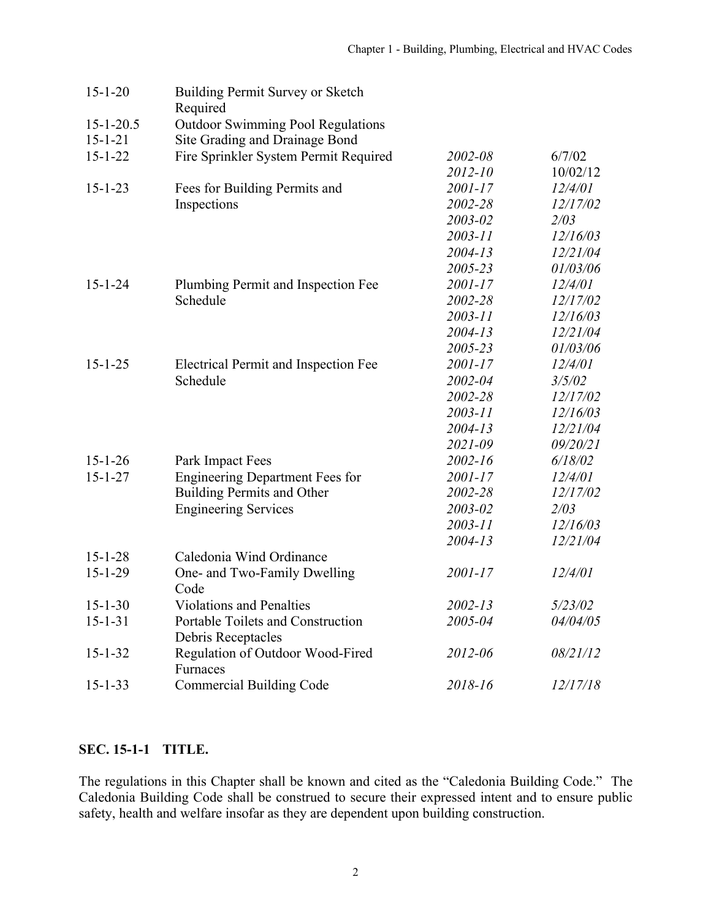| $15 - 1 - 20$   | Building Permit Survey or Sketch<br>Required            |             |          |
|-----------------|---------------------------------------------------------|-------------|----------|
| $15 - 1 - 20.5$ | <b>Outdoor Swimming Pool Regulations</b>                |             |          |
| $15 - 1 - 21$   | Site Grading and Drainage Bond                          |             |          |
| $15 - 1 - 22$   | Fire Sprinkler System Permit Required                   | 2002-08     | 6/7/02   |
|                 |                                                         | 2012-10     | 10/02/12 |
| $15 - 1 - 23$   | Fees for Building Permits and                           | 2001-17     | 12/4/01  |
|                 | Inspections                                             | 2002-28     | 12/17/02 |
|                 |                                                         | 2003-02     | 2/03     |
|                 |                                                         | $2003 - 11$ | 12/16/03 |
|                 |                                                         | $2004 - 13$ | 12/21/04 |
|                 |                                                         | 2005-23     | 01/03/06 |
| $15 - 1 - 24$   | Plumbing Permit and Inspection Fee                      | 2001-17     | 12/4/01  |
|                 | Schedule                                                | 2002-28     | 12/17/02 |
|                 |                                                         | $2003 - 11$ | 12/16/03 |
|                 |                                                         | $2004 - 13$ | 12/21/04 |
|                 |                                                         | 2005-23     | 01/03/06 |
| $15 - 1 - 25$   | <b>Electrical Permit and Inspection Fee</b>             | 2001-17     | 12/4/01  |
|                 | Schedule                                                | 2002-04     | 3/5/02   |
|                 |                                                         | 2002-28     | 12/17/02 |
|                 |                                                         | $2003 - 11$ | 12/16/03 |
|                 |                                                         | $2004 - 13$ | 12/21/04 |
|                 |                                                         | 2021-09     | 09/20/21 |
| $15 - 1 - 26$   | Park Impact Fees                                        | 2002-16     | 6/18/02  |
| $15 - 1 - 27$   | <b>Engineering Department Fees for</b>                  | 2001-17     | 12/4/01  |
|                 | Building Permits and Other                              | 2002-28     | 12/17/02 |
|                 | <b>Engineering Services</b>                             | 2003-02     | 2/03     |
|                 |                                                         | 2003-11     | 12/16/03 |
|                 |                                                         | $2004 - 13$ | 12/21/04 |
| $15 - 1 - 28$   | Caledonia Wind Ordinance                                |             |          |
| $15 - 1 - 29$   | One- and Two-Family Dwelling<br>Code                    | 2001-17     | 12/4/01  |
| $15 - 1 - 30$   | <b>Violations and Penalties</b>                         | 2002-13     | 5/23/02  |
| $15 - 1 - 31$   | Portable Toilets and Construction<br>Debris Receptacles | 2005-04     | 04/04/05 |
| $15 - 1 - 32$   | Regulation of Outdoor Wood-Fired<br>Furnaces            | 2012-06     | 08/21/12 |
| $15 - 1 - 33$   | <b>Commercial Building Code</b>                         | 2018-16     | 12/17/18 |

# **SEC. 15-1-1 TITLE.**

The regulations in this Chapter shall be known and cited as the "Caledonia Building Code." The Caledonia Building Code shall be construed to secure their expressed intent and to ensure public safety, health and welfare insofar as they are dependent upon building construction.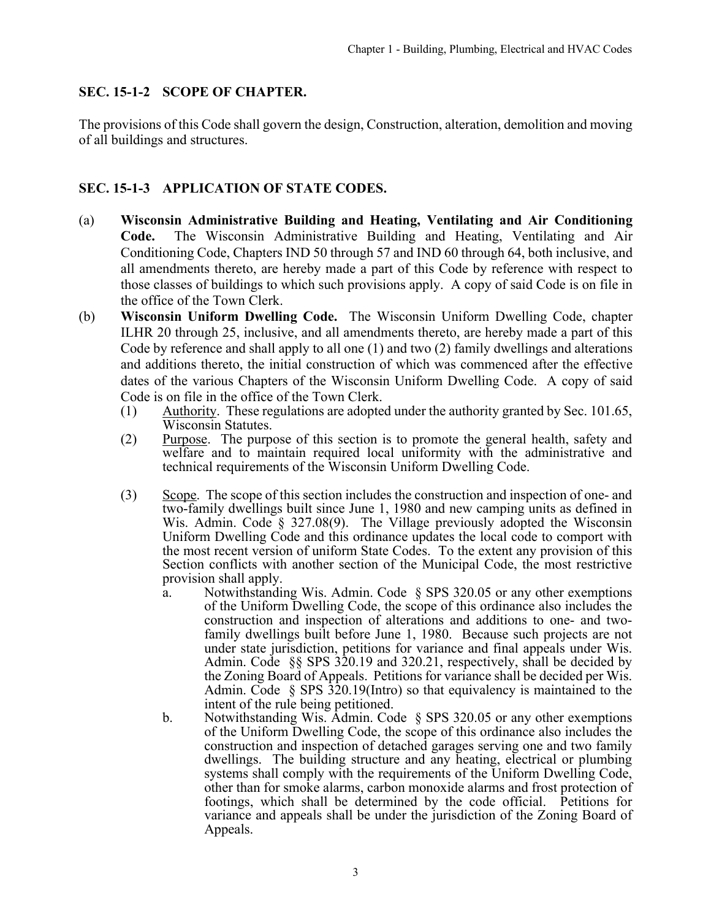### <span id="page-2-0"></span>**SEC. 15-1-2 SCOPE OF CHAPTER.**

The provisions of this Code shall govern the design, Construction, alteration, demolition and moving of all buildings and structures.

# **SEC. 15-1-3 APPLICATION OF STATE CODES.**

- (a) **Wisconsin Administrative Building and Heating, Ventilating and Air Conditioning Code.** The Wisconsin Administrative Building and Heating, Ventilating and Air Conditioning Code, Chapters IND 50 through 57 and IND 60 through 64, both inclusive, and all amendments thereto, are hereby made a part of this Code by reference with respect to those classes of buildings to which such provisions apply. A copy of said Code is on file in the office of the Town Clerk.
- (b) **Wisconsin Uniform Dwelling Code.** The Wisconsin Uniform Dwelling Code, chapter ILHR 20 through 25, inclusive, and all amendments thereto, are hereby made a part of this Code by reference and shall apply to all one (1) and two (2) family dwellings and alterations and additions thereto, the initial construction of which was commenced after the effective dates of the various Chapters of the Wisconsin Uniform Dwelling Code. A copy of said Code is on file in the office of the Town Clerk.
	- (1) Authority. These regulations are adopted under the authority granted by Sec. 101.65, Wisconsin Statutes.
	- (2) Purpose. The purpose of this section is to promote the general health, safety and welfare and to maintain required local uniformity with the administrative and technical requirements of the Wisconsin Uniform Dwelling Code.
	- (3) Scope. The scope of this section includes the construction and inspection of one- and two-family dwellings built since June 1, 1980 and new camping units as defined in Wis. Admin. Code § 327.08(9). The Village previously adopted the Wisconsin Uniform Dwelling Code and this ordinance updates the local code to comport with the most recent version of uniform State Codes. To the extent any provision of this Section conflicts with another section of the Municipal Code, the most restrictive provision shall apply.
		- a. Notwithstanding Wis. Admin. Code § SPS 320.05 or any other exemptions of the Uniform Dwelling Code, the scope of this ordinance also includes the construction and inspection of alterations and additions to one- and twofamily dwellings built before June 1, 1980. Because such projects are not under state jurisdiction, petitions for variance and final appeals under Wis. Admin. Code §§ SPS 320.19 and 320.21, respectively, shall be decided by the Zoning Board of Appeals. Petitions for variance shall be decided per Wis. Admin. Code § SPS 320.19(Intro) so that equivalency is maintained to the intent of the rule being petitioned.
		- b. Notwithstanding Wis. Admin. Code § SPS 320.05 or any other exemptions of the Uniform Dwelling Code, the scope of this ordinance also includes the construction and inspection of detached garages serving one and two family dwellings. The building structure and any heating, electrical or plumbing systems shall comply with the requirements of the Uniform Dwelling Code, other than for smoke alarms, carbon monoxide alarms and frost protection of footings, which shall be determined by the code official. Petitions for variance and appeals shall be under the jurisdiction of the Zoning Board of Appeals.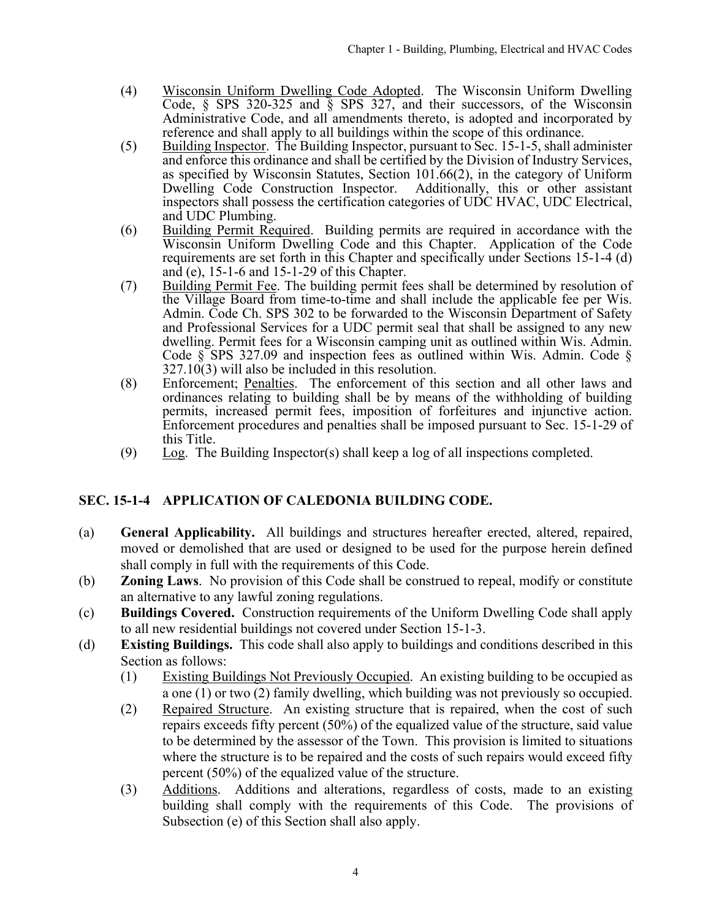- <span id="page-3-0"></span>(4) Wisconsin Uniform Dwelling Code Adopted. The Wisconsin Uniform Dwelling Code, § SPS 320-325 and § SPS 327, and their successors, of the Wisconsin Administrative Code, and all amendments thereto, is adopted and incorporated by reference and shall apply to all buildings within the scope of this ordinance.
- (5) Building Inspector. The Building Inspector, pursuant to Sec. 15-1-5, shall administer and enforce this ordinance and shall be certified by the Division of Industry Services, as specified by Wisconsin Statutes, Section 101.66(2), in the category of Uniform Dwelling Code Construction Inspector. Additionally, this or other assistant inspectors shall possess the certification categories of UDC HVAC, UDC Electrical, and UDC Plumbing.
- (6) Building Permit Required. Building permits are required in accordance with the Wisconsin Uniform Dwelling Code and this Chapter. Application of the Code requirements are set forth in this Chapter and specifically under Sections 15-1-4 (d) and (e), 15-1-6 and 15-1-29 of this Chapter.
- (7) Building Permit Fee. The building permit fees shall be determined by resolution of the Village Board from time-to-time and shall include the applicable fee per Wis. Admin. Code Ch. SPS 302 to be forwarded to the Wisconsin Department of Safety and Professional Services for a UDC permit seal that shall be assigned to any new dwelling. Permit fees for a Wisconsin camping unit as outlined within Wis. Admin. Code  $\S$  SPS 327.09 and inspection fees as outlined within Wis. Admin. Code  $\S$ 327.10(3) will also be included in this resolution.
- (8) Enforcement; Penalties. The enforcement of this section and all other laws and ordinances relating to building shall be by means of the withholding of building permits, increased permit fees, imposition of forfeitures and injunctive action. Enforcement procedures and penalties shall be imposed pursuant to Sec. 15-1-29 of this Title.
- (9)  $\text{Log.}$  The Building Inspector(s) shall keep a log of all inspections completed.

# **SEC. 15-1-4 APPLICATION OF CALEDONIA BUILDING CODE.**

- (a) **General Applicability.** All buildings and structures hereafter erected, altered, repaired, moved or demolished that are used or designed to be used for the purpose herein defined shall comply in full with the requirements of this Code.
- (b) **Zoning Laws**. No provision of this Code shall be construed to repeal, modify or constitute an alternative to any lawful zoning regulations.
- (c) **Buildings Covered.** Construction requirements of the Uniform Dwelling Code shall apply to all new residential buildings not covered under Section 15-1-3.
- (d) **Existing Buildings.** This code shall also apply to buildings and conditions described in this Section as follows:
	- (1) Existing Buildings Not Previously Occupied. An existing building to be occupied as a one (1) or two (2) family dwelling, which building was not previously so occupied.
	- (2) Repaired Structure. An existing structure that is repaired, when the cost of such repairs exceeds fifty percent (50%) of the equalized value of the structure, said value to be determined by the assessor of the Town. This provision is limited to situations where the structure is to be repaired and the costs of such repairs would exceed fifty percent (50%) of the equalized value of the structure.
	- (3) Additions. Additions and alterations, regardless of costs, made to an existing building shall comply with the requirements of this Code. The provisions of Subsection (e) of this Section shall also apply.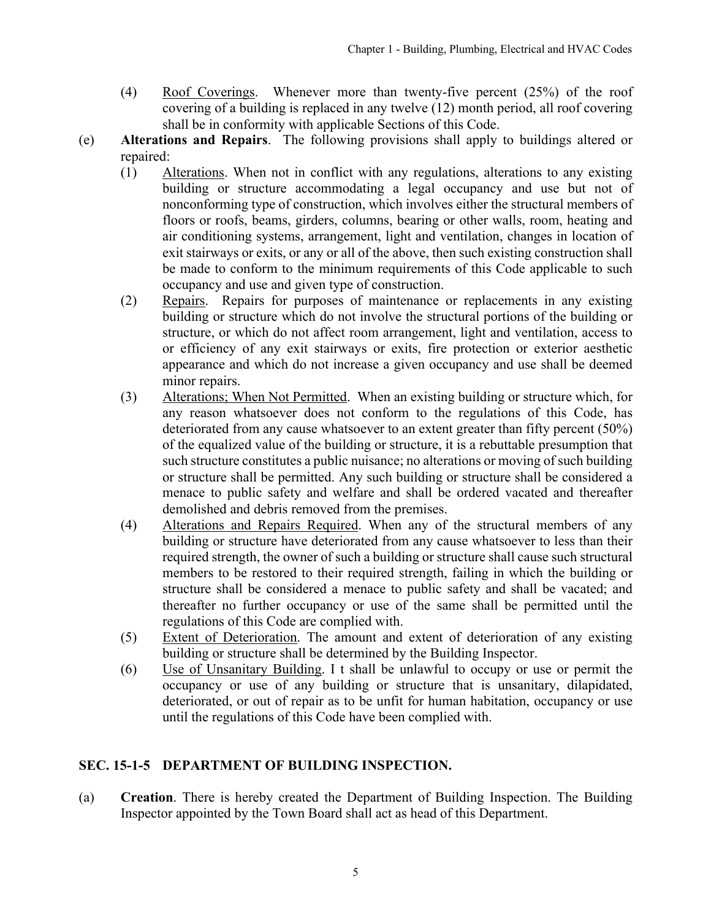- (4) Roof Coverings. Whenever more than twenty-five percent  $(25%)$  of the roof covering of a building is replaced in any twelve (12) month period, all roof covering shall be in conformity with applicable Sections of this Code.
- (e) **Alterations and Repairs**. The following provisions shall apply to buildings altered or repaired:
	- (1) Alterations. When not in conflict with any regulations, alterations to any existing building or structure accommodating a legal occupancy and use but not of nonconforming type of construction, which involves either the structural members of floors or roofs, beams, girders, columns, bearing or other walls, room, heating and air conditioning systems, arrangement, light and ventilation, changes in location of exit stairways or exits, or any or all of the above, then such existing construction shall be made to conform to the minimum requirements of this Code applicable to such occupancy and use and given type of construction.
	- (2) Repairs. Repairs for purposes of maintenance or replacements in any existing building or structure which do not involve the structural portions of the building or structure, or which do not affect room arrangement, light and ventilation, access to or efficiency of any exit stairways or exits, fire protection or exterior aesthetic appearance and which do not increase a given occupancy and use shall be deemed minor repairs.
	- (3) Alterations; When Not Permitted. When an existing building or structure which, for any reason whatsoever does not conform to the regulations of this Code, has deteriorated from any cause whatsoever to an extent greater than fifty percent (50%) of the equalized value of the building or structure, it is a rebuttable presumption that such structure constitutes a public nuisance; no alterations or moving of such building or structure shall be permitted. Any such building or structure shall be considered a menace to public safety and welfare and shall be ordered vacated and thereafter demolished and debris removed from the premises.
	- (4) Alterations and Repairs Required. When any of the structural members of any building or structure have deteriorated from any cause whatsoever to less than their required strength, the owner of such a building or structure shall cause such structural members to be restored to their required strength, failing in which the building or structure shall be considered a menace to public safety and shall be vacated; and thereafter no further occupancy or use of the same shall be permitted until the regulations of this Code are complied with.
	- (5) Extent of Deterioration. The amount and extent of deterioration of any existing building or structure shall be determined by the Building Inspector.
	- (6) Use of Unsanitary Building. I t shall be unlawful to occupy or use or permit the occupancy or use of any building or structure that is unsanitary, dilapidated, deteriorated, or out of repair as to be unfit for human habitation, occupancy or use until the regulations of this Code have been complied with.

# **SEC. 15-1-5 DEPARTMENT OF BUILDING INSPECTION.**

(a) **Creation**. There is hereby created the Department of Building Inspection. The Building Inspector appointed by the Town Board shall act as head of this Department.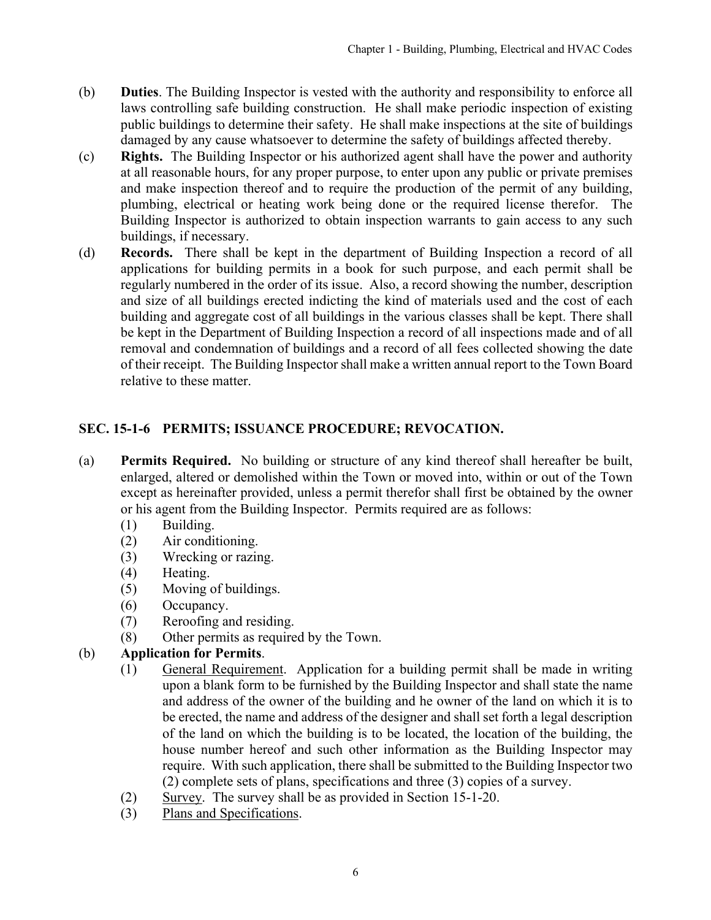- <span id="page-5-0"></span>(b) **Duties**. The Building Inspector is vested with the authority and responsibility to enforce all laws controlling safe building construction. He shall make periodic inspection of existing public buildings to determine their safety. He shall make inspections at the site of buildings damaged by any cause whatsoever to determine the safety of buildings affected thereby.
- (c) **Rights.** The Building Inspector or his authorized agent shall have the power and authority at all reasonable hours, for any proper purpose, to enter upon any public or private premises and make inspection thereof and to require the production of the permit of any building, plumbing, electrical or heating work being done or the required license therefor. The Building Inspector is authorized to obtain inspection warrants to gain access to any such buildings, if necessary.
- (d) **Records.** There shall be kept in the department of Building Inspection a record of all applications for building permits in a book for such purpose, and each permit shall be regularly numbered in the order of its issue. Also, a record showing the number, description and size of all buildings erected indicting the kind of materials used and the cost of each building and aggregate cost of all buildings in the various classes shall be kept. There shall be kept in the Department of Building Inspection a record of all inspections made and of all removal and condemnation of buildings and a record of all fees collected showing the date of their receipt. The Building Inspector shall make a written annual report to the Town Board relative to these matter.

# **SEC. 15-1-6 PERMITS; ISSUANCE PROCEDURE; REVOCATION.**

- (a) **Permits Required.** No building or structure of any kind thereof shall hereafter be built, enlarged, altered or demolished within the Town or moved into, within or out of the Town except as hereinafter provided, unless a permit therefor shall first be obtained by the owner or his agent from the Building Inspector. Permits required are as follows:
	- (1) Building.
	- (2) Air conditioning.
	- (3) Wrecking or razing.
	- (4) Heating.
	- (5) Moving of buildings.
	- (6) Occupancy.
	- (7) Reroofing and residing.
	- (8) Other permits as required by the Town.

# (b) **Application for Permits**.

- (1) General Requirement. Application for a building permit shall be made in writing upon a blank form to be furnished by the Building Inspector and shall state the name and address of the owner of the building and he owner of the land on which it is to be erected, the name and address of the designer and shall set forth a legal description of the land on which the building is to be located, the location of the building, the house number hereof and such other information as the Building Inspector may require. With such application, there shall be submitted to the Building Inspector two (2) complete sets of plans, specifications and three (3) copies of a survey.
- (2) Survey. The survey shall be as provided in Section 15-1-20.
- (3) Plans and Specifications.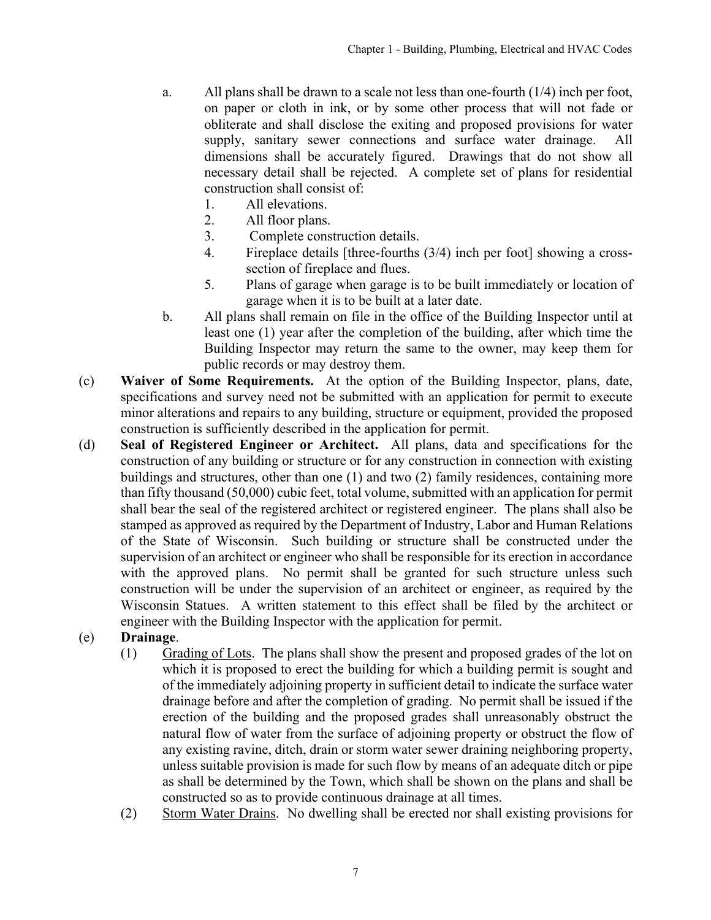- a. All plans shall be drawn to a scale not less than one-fourth (1/4) inch per foot, on paper or cloth in ink, or by some other process that will not fade or obliterate and shall disclose the exiting and proposed provisions for water supply, sanitary sewer connections and surface water drainage. All dimensions shall be accurately figured. Drawings that do not show all necessary detail shall be rejected. A complete set of plans for residential construction shall consist of:
	- 1. All elevations.
	- 2. All floor plans.
	- 3. Complete construction details.
	- 4. Fireplace details [three-fourths (3/4) inch per foot] showing a crosssection of fireplace and flues.
	- 5. Plans of garage when garage is to be built immediately or location of garage when it is to be built at a later date.
- b. All plans shall remain on file in the office of the Building Inspector until at least one (1) year after the completion of the building, after which time the Building Inspector may return the same to the owner, may keep them for public records or may destroy them.
- (c) **Waiver of Some Requirements.** At the option of the Building Inspector, plans, date, specifications and survey need not be submitted with an application for permit to execute minor alterations and repairs to any building, structure or equipment, provided the proposed construction is sufficiently described in the application for permit.
- (d) **Seal of Registered Engineer or Architect.** All plans, data and specifications for the construction of any building or structure or for any construction in connection with existing buildings and structures, other than one (1) and two (2) family residences, containing more than fifty thousand (50,000) cubic feet, total volume, submitted with an application for permit shall bear the seal of the registered architect or registered engineer. The plans shall also be stamped as approved as required by the Department of Industry, Labor and Human Relations of the State of Wisconsin. Such building or structure shall be constructed under the supervision of an architect or engineer who shall be responsible for its erection in accordance with the approved plans. No permit shall be granted for such structure unless such construction will be under the supervision of an architect or engineer, as required by the Wisconsin Statues. A written statement to this effect shall be filed by the architect or engineer with the Building Inspector with the application for permit.
- (e) **Drainage**.
	- (1) Grading of Lots. The plans shall show the present and proposed grades of the lot on which it is proposed to erect the building for which a building permit is sought and of the immediately adjoining property in sufficient detail to indicate the surface water drainage before and after the completion of grading. No permit shall be issued if the erection of the building and the proposed grades shall unreasonably obstruct the natural flow of water from the surface of adjoining property or obstruct the flow of any existing ravine, ditch, drain or storm water sewer draining neighboring property, unless suitable provision is made for such flow by means of an adequate ditch or pipe as shall be determined by the Town, which shall be shown on the plans and shall be constructed so as to provide continuous drainage at all times.
	- (2) Storm Water Drains. No dwelling shall be erected nor shall existing provisions for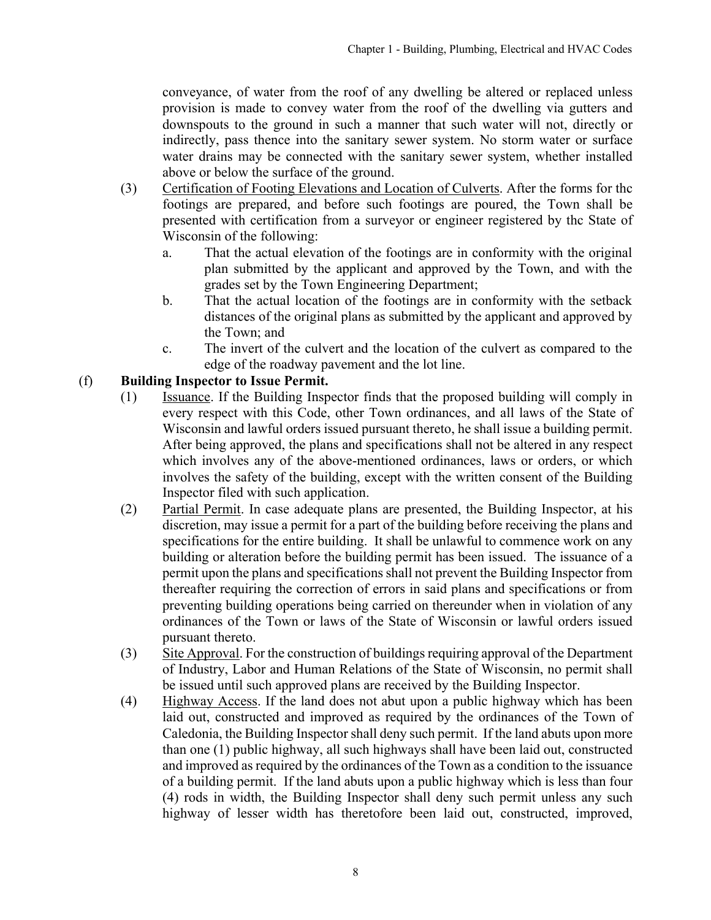conveyance, of water from the roof of any dwelling be altered or replaced unless provision is made to convey water from the roof of the dwelling via gutters and downspouts to the ground in such a manner that such water will not, directly or indirectly, pass thence into the sanitary sewer system. No storm water or surface water drains may be connected with the sanitary sewer system, whether installed above or below the surface of the ground.

- (3) Certification of Footing Elevations and Location of Culverts. After the forms for thc footings are prepared, and before such footings are poured, the Town shall be presented with certification from a surveyor or engineer registered by thc State of Wisconsin of the following:
	- a. That the actual elevation of the footings are in conformity with the original plan submitted by the applicant and approved by the Town, and with the grades set by the Town Engineering Department;
	- b. That the actual location of the footings are in conformity with the setback distances of the original plans as submitted by the applicant and approved by the Town; and
	- c. The invert of the culvert and the location of the culvert as compared to the edge of the roadway pavement and the lot line.

# (f) **Building Inspector to Issue Permit.**

- (1) Issuance. If the Building Inspector finds that the proposed building will comply in every respect with this Code, other Town ordinances, and all laws of the State of Wisconsin and lawful orders issued pursuant thereto, he shall issue a building permit. After being approved, the plans and specifications shall not be altered in any respect which involves any of the above-mentioned ordinances, laws or orders, or which involves the safety of the building, except with the written consent of the Building Inspector filed with such application.
- (2) Partial Permit. In case adequate plans are presented, the Building Inspector, at his discretion, may issue a permit for a part of the building before receiving the plans and specifications for the entire building. It shall be unlawful to commence work on any building or alteration before the building permit has been issued. The issuance of a permit upon the plans and specifications shall not prevent the Building Inspector from thereafter requiring the correction of errors in said plans and specifications or from preventing building operations being carried on thereunder when in violation of any ordinances of the Town or laws of the State of Wisconsin or lawful orders issued pursuant thereto.
- (3) Site Approval. For the construction of buildings requiring approval of the Department of Industry, Labor and Human Relations of the State of Wisconsin, no permit shall be issued until such approved plans are received by the Building Inspector.
- (4) Highway Access. If the land does not abut upon a public highway which has been laid out, constructed and improved as required by the ordinances of the Town of Caledonia, the Building Inspector shall deny such permit. If the land abuts upon more than one (1) public highway, all such highways shall have been laid out, constructed and improved as required by the ordinances of the Town as a condition to the issuance of a building permit. If the land abuts upon a public highway which is less than four (4) rods in width, the Building Inspector shall deny such permit unless any such highway of lesser width has theretofore been laid out, constructed, improved,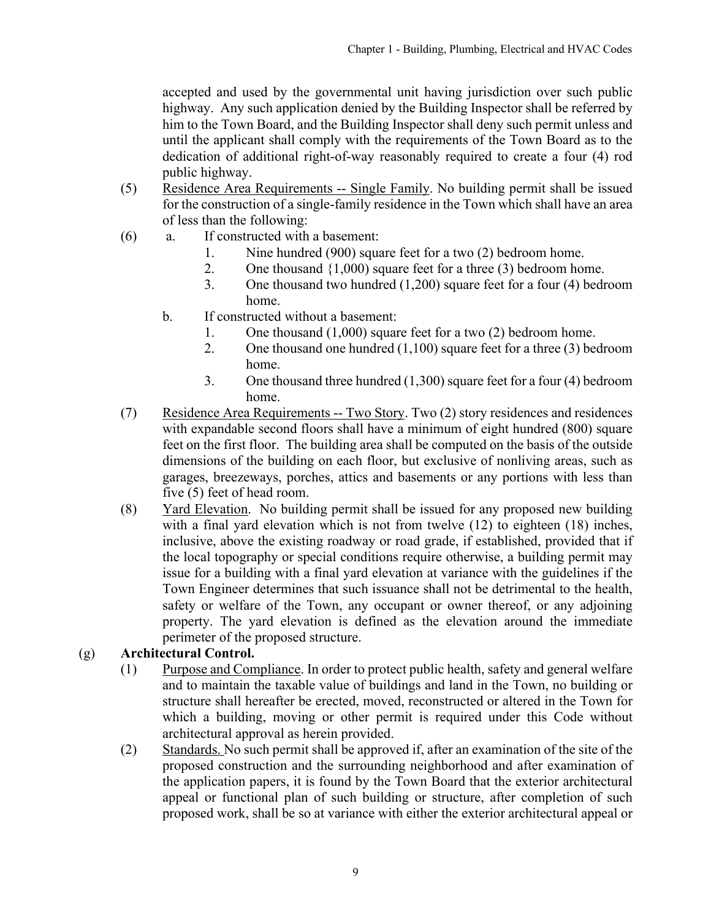accepted and used by the governmental unit having jurisdiction over such public highway. Any such application denied by the Building Inspector shall be referred by him to the Town Board, and the Building Inspector shall deny such permit unless and until the applicant shall comply with the requirements of the Town Board as to the dedication of additional right-of-way reasonably required to create a four (4) rod public highway.

- (5) Residence Area Requirements -- Single Family. No building permit shall be issued for the construction of a single-family residence in the Town which shall have an area of less than the following:
- (6) a. If constructed with a basement:
	- 1. Nine hundred (900) square feet for a two (2) bedroom home.
	- 2. One thousand {1,000) square feet for a three (3) bedroom home.
	- 3. One thousand two hundred (1,200) square feet for a four (4) bedroom home.
	- b. If constructed without a basement:
		- 1. One thousand (1,000) square feet for a two (2) bedroom home.
		- 2. One thousand one hundred (1,100) square feet for a three (3) bedroom home.
		- 3. One thousand three hundred (1,300) square feet for a four (4) bedroom home.
- (7) Residence Area Requirements -- Two Story. Two (2) story residences and residences with expandable second floors shall have a minimum of eight hundred (800) square feet on the first floor. The building area shall be computed on the basis of the outside dimensions of the building on each floor, but exclusive of nonliving areas, such as garages, breezeways, porches, attics and basements or any portions with less than five (5) feet of head room.
- (8) Yard Elevation. No building permit shall be issued for any proposed new building with a final yard elevation which is not from twelve (12) to eighteen (18) inches, inclusive, above the existing roadway or road grade, if established, provided that if the local topography or special conditions require otherwise, a building permit may issue for a building with a final yard elevation at variance with the guidelines if the Town Engineer determines that such issuance shall not be detrimental to the health, safety or welfare of the Town, any occupant or owner thereof, or any adjoining property. The yard elevation is defined as the elevation around the immediate perimeter of the proposed structure.

# (g) **Architectural Control.**

- (1) Purpose and Compliance. In order to protect public health, safety and general welfare and to maintain the taxable value of buildings and land in the Town, no building or structure shall hereafter be erected, moved, reconstructed or altered in the Town for which a building, moving or other permit is required under this Code without architectural approval as herein provided.
- (2) Standards. No such permit shall be approved if, after an examination of the site of the proposed construction and the surrounding neighborhood and after examination of the application papers, it is found by the Town Board that the exterior architectural appeal or functional plan of such building or structure, after completion of such proposed work, shall be so at variance with either the exterior architectural appeal or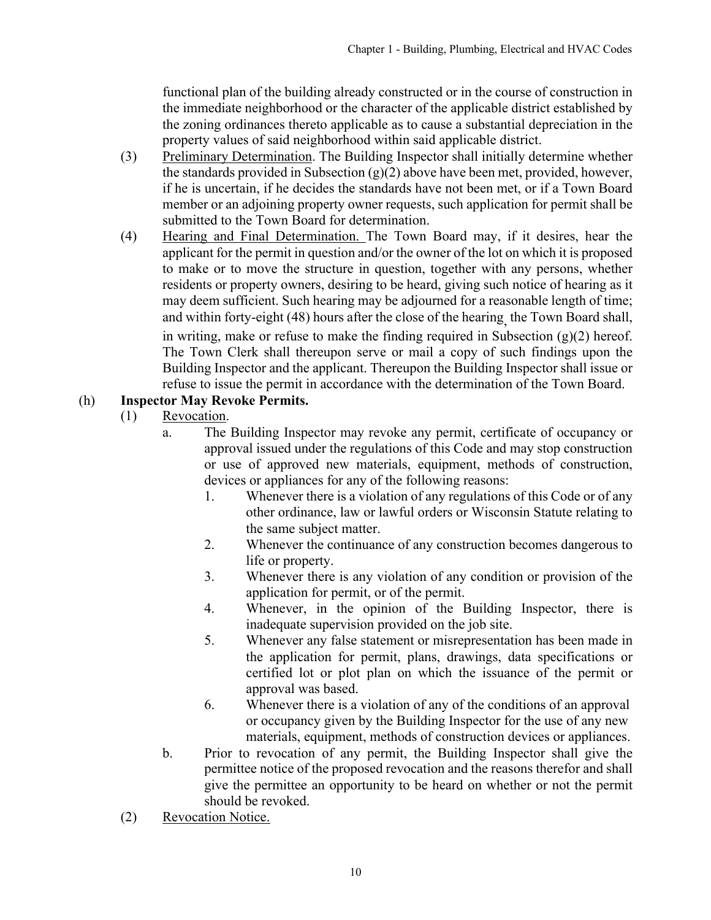functional plan of the building already constructed or in the course of construction in the immediate neighborhood or the character of the applicable district established by the zoning ordinances thereto applicable as to cause a substantial depreciation in the property values of said neighborhood within said applicable district.

- (3) Preliminary Determination. The Building Inspector shall initially determine whether the standards provided in Subsection (g)(2) above have been met, provided, however, if he is uncertain, if he decides the standards have not been met, or if a Town Board member or an adjoining property owner requests, such application for permit shall be submitted to the Town Board for determination.
- (4) Hearing and Final Determination. The Town Board may, if it desires, hear the applicant for the permit in question and/or the owner of the lot on which it is proposed to make or to move the structure in question, together with any persons, whether residents or property owners, desiring to be heard, giving such notice of hearing as it may deem sufficient. Such hearing may be adjourned for a reasonable length of time; and within forty-eight (48) hours after the close of the hearing, the Town Board shall, in writing, make or refuse to make the finding required in Subsection  $(g)(2)$  hereof. The Town Clerk shall thereupon serve or mail a copy of such findings upon the Building Inspector and the applicant. Thereupon the Building Inspector shall issue or refuse to issue the permit in accordance with the determination of the Town Board.

# (h) **Inspector May Revoke Permits.**

- (1) Revocation.
	- a. The Building Inspector may revoke any permit, certificate of occupancy or approval issued under the regulations of this Code and may stop construction or use of approved new materials, equipment, methods of construction, devices or appliances for any of the following reasons:
		- 1. Whenever there is a violation of any regulations of this Code or of any other ordinance, law or lawful orders or Wisconsin Statute relating to the same subject matter.
		- 2. Whenever the continuance of any construction becomes dangerous to life or property.
		- 3. Whenever there is any violation of any condition or provision of the application for permit, or of the permit.
		- 4. Whenever, in the opinion of the Building Inspector, there is inadequate supervision provided on the job site.
		- 5. Whenever any false statement or misrepresentation has been made in the application for permit, plans, drawings, data specifications or certified lot or plot plan on which the issuance of the permit or approval was based.
		- 6. Whenever there is a violation of any of the conditions of an approval or occupancy given by the Building Inspector for the use of any new materials, equipment, methods of construction devices or appliances.
	- b. Prior to revocation of any permit, the Building Inspector shall give the permittee notice of the proposed revocation and the reasons therefor and shall give the permittee an opportunity to be heard on whether or not the permit should be revoked.
- (2) Revocation Notice.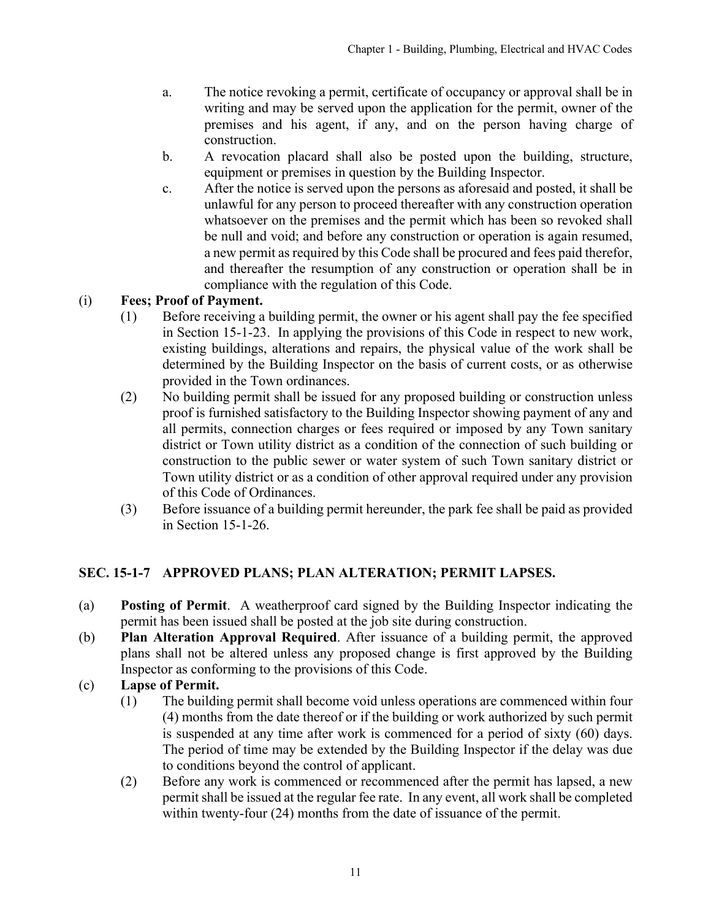- <span id="page-10-0"></span>a. The notice revoking a permit, certificate of occupancy or approval shall be in writing and may be served upon the application for the permit, owner of the premises and his agent, if any, and on the person having charge of construction.
- b. A revocation placard shall also be posted upon the building, structure, equipment or premises in question by the Building Inspector.
- c. After the notice is served upon the persons as aforesaid and posted, it shall be unlawful for any person to proceed thereafter with any construction operation whatsoever on the premises and the permit which has been so revoked shall be null and void; and before any construction or operation is again resumed, a new permit as required by this Code shall be procured and fees paid therefor, and thereafter the resumption of any construction or operation shall be in compliance with the regulation of this Code.

# (i) **Fees; Proof of Payment.**

- (1) Before receiving a building permit, the owner or his agent shall pay the fee specified in Section 15-1-23. In applying the provisions of this Code in respect to new work, existing buildings, alterations and repairs, the physical value of the work shall be determined by the Building Inspector on the basis of current costs, or as otherwise provided in the Town ordinances.
- (2) No building permit shall be issued for any proposed building or construction unless proof is furnished satisfactory to the Building Inspector showing payment of any and all permits, connection charges or fees required or imposed by any Town sanitary district or Town utility district as a condition of the connection of such building or construction to the public sewer or water system of such Town sanitary district or Town utility district or as a condition of other approval required under any provision of this Code of Ordinances.
- (3) Before issuance of a building permit hereunder, the park fee shall be paid as provided in Section 15-1-26.

# **SEC. 15-1-7 APPROVED PLANS; PLAN ALTERATION; PERMIT LAPSES.**

- (a) **Posting of Permit**. A weatherproof card signed by the Building Inspector indicating the permit has been issued shall be posted at the job site during construction.
- (b) **Plan Alteration Approval Required**. After issuance of a building permit, the approved plans shall not be altered unless any proposed change is first approved by the Building Inspector as conforming to the provisions of this Code.
- (c) **Lapse of Permit.**
	- (1) The building permit shall become void unless operations are commenced within four (4) months from the date thereof or if the building or work authorized by such permit is suspended at any time after work is commenced for a period of sixty (60) days. The period of time may be extended by the Building Inspector if the delay was due to conditions beyond the control of applicant.
	- (2) Before any work is commenced or recommenced after the permit has lapsed, a new permit shall be issued at the regular fee rate. In any event, all work shall be completed within twenty-four (24) months from the date of issuance of the permit.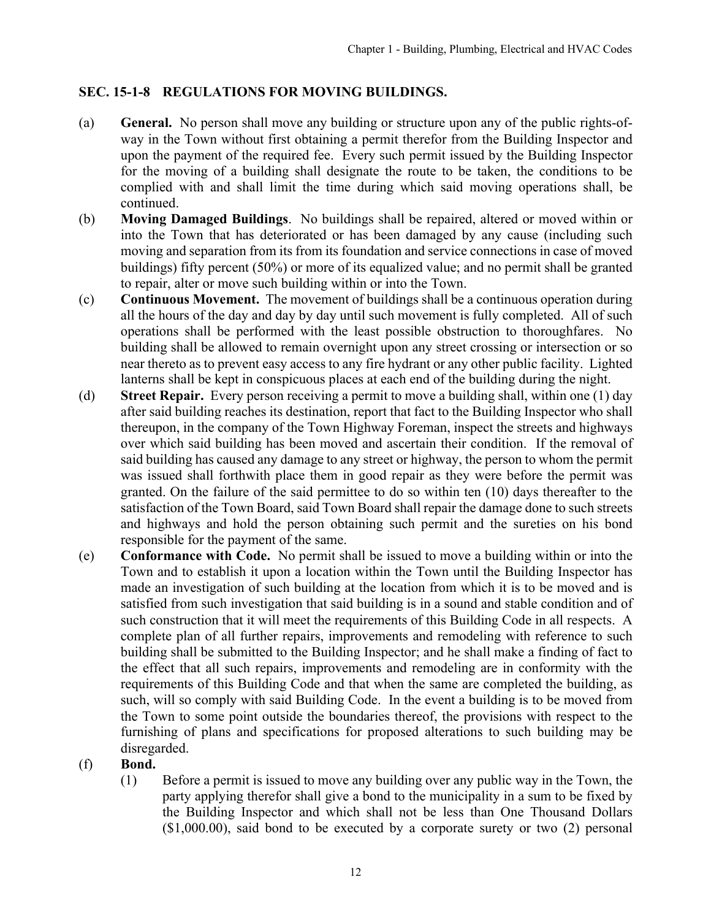# <span id="page-11-0"></span>**SEC. 15-1-8 REGULATIONS FOR MOVING BUILDINGS.**

- (a) **General.** No person shall move any building or structure upon any of the public rights-ofway in the Town without first obtaining a permit therefor from the Building Inspector and upon the payment of the required fee. Every such permit issued by the Building Inspector for the moving of a building shall designate the route to be taken, the conditions to be complied with and shall limit the time during which said moving operations shall, be continued.
- (b) **Moving Damaged Buildings**. No buildings shall be repaired, altered or moved within or into the Town that has deteriorated or has been damaged by any cause (including such moving and separation from its from its foundation and service connections in case of moved buildings) fifty percent (50%) or more of its equalized value; and no permit shall be granted to repair, alter or move such building within or into the Town.
- (c) **Continuous Movement.** The movement of buildings shall be a continuous operation during all the hours of the day and day by day until such movement is fully completed. All of such operations shall be performed with the least possible obstruction to thoroughfares. No building shall be allowed to remain overnight upon any street crossing or intersection or so near thereto as to prevent easy access to any fire hydrant or any other public facility. Lighted lanterns shall be kept in conspicuous places at each end of the building during the night.
- (d) **Street Repair.** Every person receiving a permit to move a building shall, within one (1) day after said building reaches its destination, report that fact to the Building Inspector who shall thereupon, in the company of the Town Highway Foreman, inspect the streets and highways over which said building has been moved and ascertain their condition. If the removal of said building has caused any damage to any street or highway, the person to whom the permit was issued shall forthwith place them in good repair as they were before the permit was granted. On the failure of the said permittee to do so within ten (10) days thereafter to the satisfaction of the Town Board, said Town Board shall repair the damage done to such streets and highways and hold the person obtaining such permit and the sureties on his bond responsible for the payment of the same.
- (e) **Conformance with Code.** No permit shall be issued to move a building within or into the Town and to establish it upon a location within the Town until the Building Inspector has made an investigation of such building at the location from which it is to be moved and is satisfied from such investigation that said building is in a sound and stable condition and of such construction that it will meet the requirements of this Building Code in all respects. A complete plan of all further repairs, improvements and remodeling with reference to such building shall be submitted to the Building Inspector; and he shall make a finding of fact to the effect that all such repairs, improvements and remodeling are in conformity with the requirements of this Building Code and that when the same are completed the building, as such, will so comply with said Building Code. In the event a building is to be moved from the Town to some point outside the boundaries thereof, the provisions with respect to the furnishing of plans and specifications for proposed alterations to such building may be disregarded.

# (f) **Bond.**

(1) Before a permit is issued to move any building over any public way in the Town, the party applying therefor shall give a bond to the municipality in a sum to be fixed by the Building Inspector and which shall not be less than One Thousand Dollars (\$1,000.00), said bond to be executed by a corporate surety or two (2) personal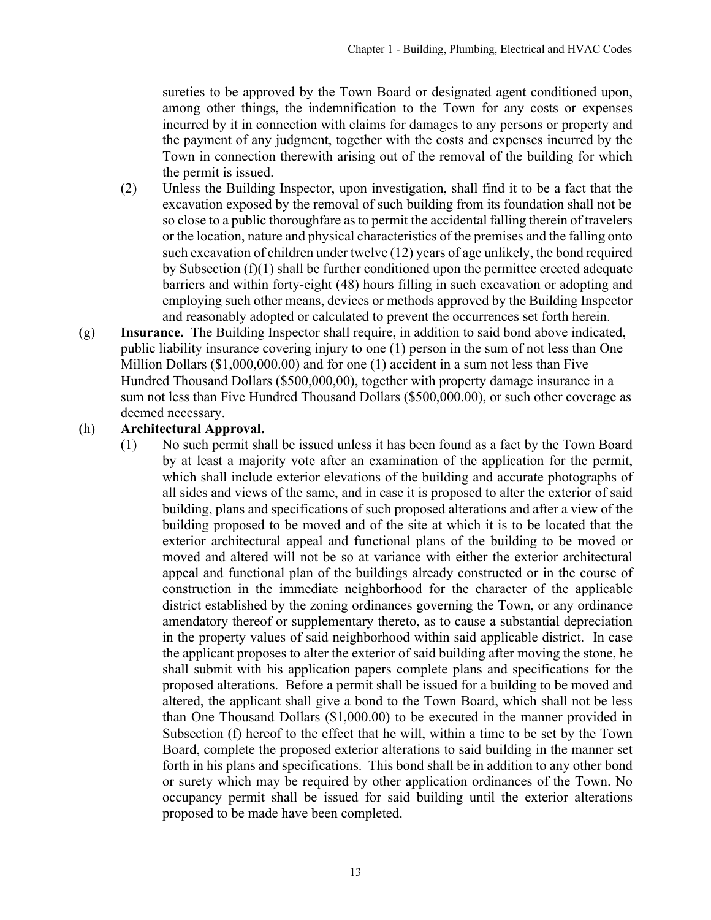sureties to be approved by the Town Board or designated agent conditioned upon, among other things, the indemnification to the Town for any costs or expenses incurred by it in connection with claims for damages to any persons or property and the payment of any judgment, together with the costs and expenses incurred by the Town in connection therewith arising out of the removal of the building for which the permit is issued.

- (2) Unless the Building Inspector, upon investigation, shall find it to be a fact that the excavation exposed by the removal of such building from its foundation shall not be so close to a public thoroughfare as to permit the accidental falling therein of travelers or the location, nature and physical characteristics of the premises and the falling onto such excavation of children under twelve (12) years of age unlikely, the bond required by Subsection (f)(1) shall be further conditioned upon the permittee erected adequate barriers and within forty-eight (48) hours filling in such excavation or adopting and employing such other means, devices or methods approved by the Building Inspector and reasonably adopted or calculated to prevent the occurrences set forth herein.
- (g) **Insurance.** The Building Inspector shall require, in addition to said bond above indicated, public liability insurance covering injury to one (1) person in the sum of not less than One Million Dollars (\$1,000,000.00) and for one (1) accident in a sum not less than Five Hundred Thousand Dollars (\$500,000,00), together with property damage insurance in a sum not less than Five Hundred Thousand Dollars (\$500,000.00), or such other coverage as deemed necessary.

#### (h) **Architectural Approval.**

(1) No such permit shall be issued unless it has been found as a fact by the Town Board by at least a majority vote after an examination of the application for the permit, which shall include exterior elevations of the building and accurate photographs of all sides and views of the same, and in case it is proposed to alter the exterior of said building, plans and specifications of such proposed alterations and after a view of the building proposed to be moved and of the site at which it is to be located that the exterior architectural appeal and functional plans of the building to be moved or moved and altered will not be so at variance with either the exterior architectural appeal and functional plan of the buildings already constructed or in the course of construction in the immediate neighborhood for the character of the applicable district established by the zoning ordinances governing the Town, or any ordinance amendatory thereof or supplementary thereto, as to cause a substantial depreciation in the property values of said neighborhood within said applicable district. In case the applicant proposes to alter the exterior of said building after moving the stone, he shall submit with his application papers complete plans and specifications for the proposed alterations. Before a permit shall be issued for a building to be moved and altered, the applicant shall give a bond to the Town Board, which shall not be less than One Thousand Dollars (\$1,000.00) to be executed in the manner provided in Subsection (f) hereof to the effect that he will, within a time to be set by the Town Board, complete the proposed exterior alterations to said building in the manner set forth in his plans and specifications. This bond shall be in addition to any other bond or surety which may be required by other application ordinances of the Town. No occupancy permit shall be issued for said building until the exterior alterations proposed to be made have been completed.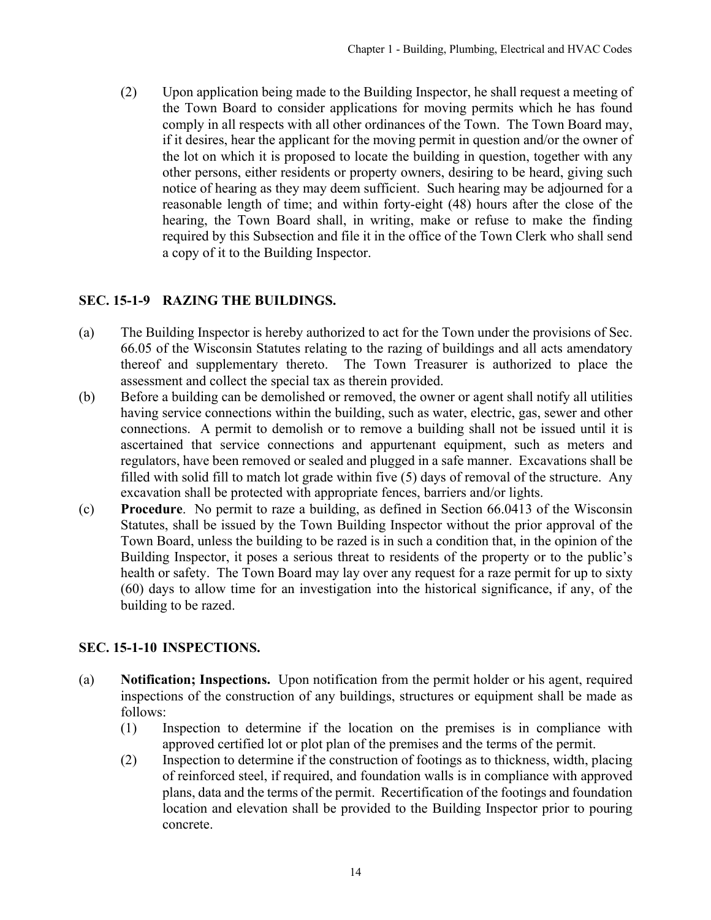<span id="page-13-0"></span>(2) Upon application being made to the Building Inspector, he shall request a meeting of the Town Board to consider applications for moving permits which he has found comply in all respects with all other ordinances of the Town. The Town Board may, if it desires, hear the applicant for the moving permit in question and/or the owner of the lot on which it is proposed to locate the building in question, together with any other persons, either residents or property owners, desiring to be heard, giving such notice of hearing as they may deem sufficient. Such hearing may be adjourned for a reasonable length of time; and within forty-eight (48) hours after the close of the hearing, the Town Board shall, in writing, make or refuse to make the finding required by this Subsection and file it in the office of the Town Clerk who shall send a copy of it to the Building Inspector.

# **SEC. 15-1-9 RAZING THE BUILDINGS.**

- (a) The Building Inspector is hereby authorized to act for the Town under the provisions of Sec. 66.05 of the Wisconsin Statutes relating to the razing of buildings and all acts amendatory thereof and supplementary thereto. The Town Treasurer is authorized to place the assessment and collect the special tax as therein provided.
- (b) Before a building can be demolished or removed, the owner or agent shall notify all utilities having service connections within the building, such as water, electric, gas, sewer and other connections. A permit to demolish or to remove a building shall not be issued until it is ascertained that service connections and appurtenant equipment, such as meters and regulators, have been removed or sealed and plugged in a safe manner. Excavations shall be filled with solid fill to match lot grade within five (5) days of removal of the structure. Any excavation shall be protected with appropriate fences, barriers and/or lights.
- (c) **Procedure**. No permit to raze a building, as defined in Section 66.0413 of the Wisconsin Statutes, shall be issued by the Town Building Inspector without the prior approval of the Town Board, unless the building to be razed is in such a condition that, in the opinion of the Building Inspector, it poses a serious threat to residents of the property or to the public's health or safety. The Town Board may lay over any request for a raze permit for up to sixty (60) days to allow time for an investigation into the historical significance, if any, of the building to be razed.

# **SEC. 15-1-10 INSPECTIONS.**

- (a) **Notification; Inspections.** Upon notification from the permit holder or his agent, required inspections of the construction of any buildings, structures or equipment shall be made as follows:
	- (1) Inspection to determine if the location on the premises is in compliance with approved certified lot or plot plan of the premises and the terms of the permit.
	- (2) Inspection to determine if the construction of footings as to thickness, width, placing of reinforced steel, if required, and foundation walls is in compliance with approved plans, data and the terms of the permit. Recertification of the footings and foundation location and elevation shall be provided to the Building Inspector prior to pouring concrete.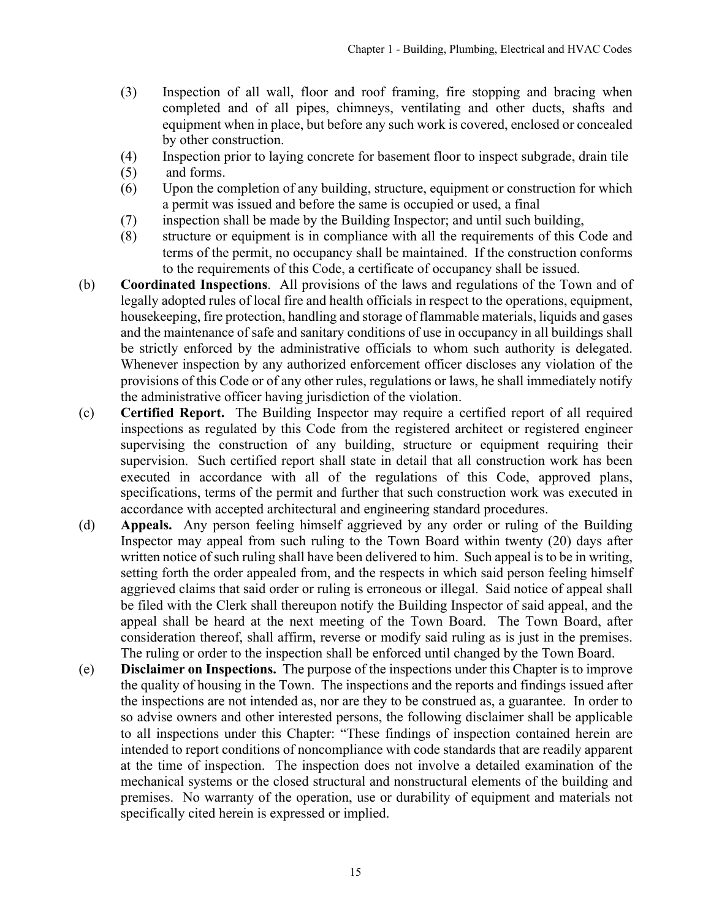- (3) Inspection of all wall, floor and roof framing, fire stopping and bracing when completed and of all pipes, chimneys, ventilating and other ducts, shafts and equipment when in place, but before any such work is covered, enclosed or concealed by other construction.
- (4) Inspection prior to laying concrete for basement floor to inspect subgrade, drain tile
- (5) and forms.
- (6) Upon the completion of any building, structure, equipment or construction for which a permit was issued and before the same is occupied or used, a final
- (7) inspection shall be made by the Building Inspector; and until such building,
- (8) structure or equipment is in compliance with all the requirements of this Code and terms of the permit, no occupancy shall be maintained. If the construction conforms to the requirements of this Code, a certificate of occupancy shall be issued.
- (b) **Coordinated Inspections**. All provisions of the laws and regulations of the Town and of legally adopted rules of local fire and health officials in respect to the operations, equipment, housekeeping, fire protection, handling and storage of flammable materials, liquids and gases and the maintenance of safe and sanitary conditions of use in occupancy in all buildings shall be strictly enforced by the administrative officials to whom such authority is delegated. Whenever inspection by any authorized enforcement officer discloses any violation of the provisions of this Code or of any other rules, regulations or laws, he shall immediately notify the administrative officer having jurisdiction of the violation.
- (c) **Certified Report.** The Building Inspector may require a certified report of all required inspections as regulated by this Code from the registered architect or registered engineer supervising the construction of any building, structure or equipment requiring their supervision. Such certified report shall state in detail that all construction work has been executed in accordance with all of the regulations of this Code, approved plans, specifications, terms of the permit and further that such construction work was executed in accordance with accepted architectural and engineering standard procedures.
- (d) **Appeals.** Any person feeling himself aggrieved by any order or ruling of the Building Inspector may appeal from such ruling to the Town Board within twenty (20) days after written notice of such ruling shall have been delivered to him. Such appeal is to be in writing, setting forth the order appealed from, and the respects in which said person feeling himself aggrieved claims that said order or ruling is erroneous or illegal. Said notice of appeal shall be filed with the Clerk shall thereupon notify the Building Inspector of said appeal, and the appeal shall be heard at the next meeting of the Town Board. The Town Board, after consideration thereof, shall affirm, reverse or modify said ruling as is just in the premises. The ruling or order to the inspection shall be enforced until changed by the Town Board.
- (e) **Disclaimer on Inspections.** The purpose of the inspections under this Chapter is to improve the quality of housing in the Town. The inspections and the reports and findings issued after the inspections are not intended as, nor are they to be construed as, a guarantee. In order to so advise owners and other interested persons, the following disclaimer shall be applicable to all inspections under this Chapter: "These findings of inspection contained herein are intended to report conditions of noncompliance with code standards that are readily apparent at the time of inspection. The inspection does not involve a detailed examination of the mechanical systems or the closed structural and nonstructural elements of the building and premises. No warranty of the operation, use or durability of equipment and materials not specifically cited herein is expressed or implied.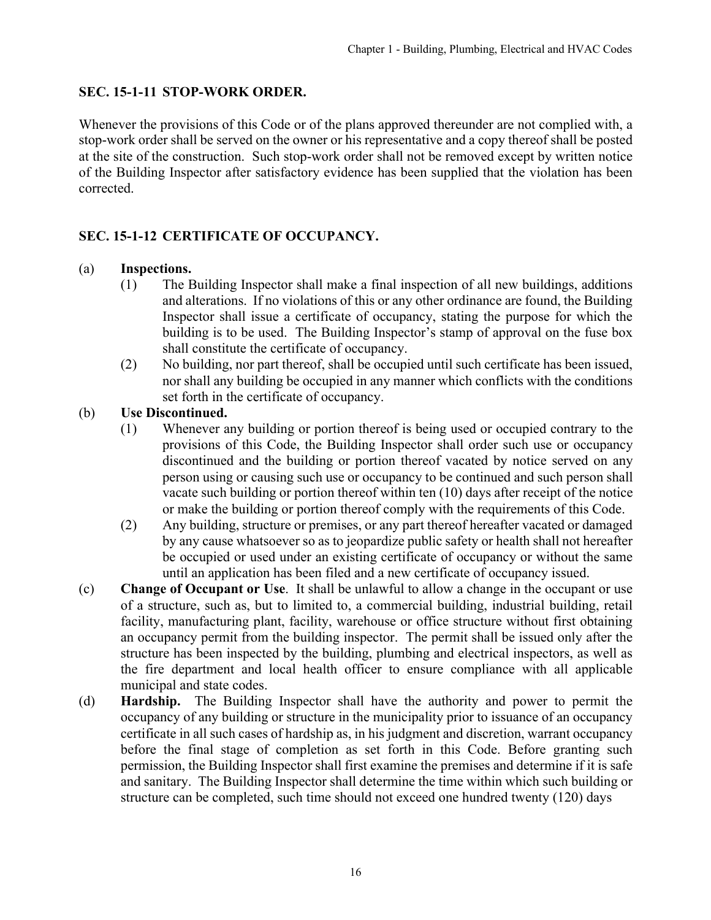### <span id="page-15-0"></span>**SEC. 15-1-11 STOP-WORK ORDER.**

Whenever the provisions of this Code or of the plans approved thereunder are not complied with, a stop-work order shall be served on the owner or his representative and a copy thereof shall be posted at the site of the construction. Such stop-work order shall not be removed except by written notice of the Building Inspector after satisfactory evidence has been supplied that the violation has been corrected.

# **SEC. 15-1-12 CERTIFICATE OF OCCUPANCY.**

#### (a) **Inspections.**

- (1) The Building Inspector shall make a final inspection of all new buildings, additions and alterations. If no violations of this or any other ordinance are found, the Building Inspector shall issue a certificate of occupancy, stating the purpose for which the building is to be used. The Building Inspector's stamp of approval on the fuse box shall constitute the certificate of occupancy.
- (2) No building, nor part thereof, shall be occupied until such certificate has been issued, nor shall any building be occupied in any manner which conflicts with the conditions set forth in the certificate of occupancy.

#### (b) **Use Discontinued.**

- (1) Whenever any building or portion thereof is being used or occupied contrary to the provisions of this Code, the Building Inspector shall order such use or occupancy discontinued and the building or portion thereof vacated by notice served on any person using or causing such use or occupancy to be continued and such person shall vacate such building or portion thereof within ten (10) days after receipt of the notice or make the building or portion thereof comply with the requirements of this Code.
- (2) Any building, structure or premises, or any part thereof hereafter vacated or damaged by any cause whatsoever so as to jeopardize public safety or health shall not hereafter be occupied or used under an existing certificate of occupancy or without the same until an application has been filed and a new certificate of occupancy issued.
- (c) **Change of Occupant or Use**. It shall be unlawful to allow a change in the occupant or use of a structure, such as, but to limited to, a commercial building, industrial building, retail facility, manufacturing plant, facility, warehouse or office structure without first obtaining an occupancy permit from the building inspector. The permit shall be issued only after the structure has been inspected by the building, plumbing and electrical inspectors, as well as the fire department and local health officer to ensure compliance with all applicable municipal and state codes.
- (d) **Hardship.** The Building Inspector shall have the authority and power to permit the occupancy of any building or structure in the municipality prior to issuance of an occupancy certificate in all such cases of hardship as, in his judgment and discretion, warrant occupancy before the final stage of completion as set forth in this Code. Before granting such permission, the Building Inspector shall first examine the premises and determine if it is safe and sanitary. The Building Inspector shall determine the time within which such building or structure can be completed, such time should not exceed one hundred twenty (120) days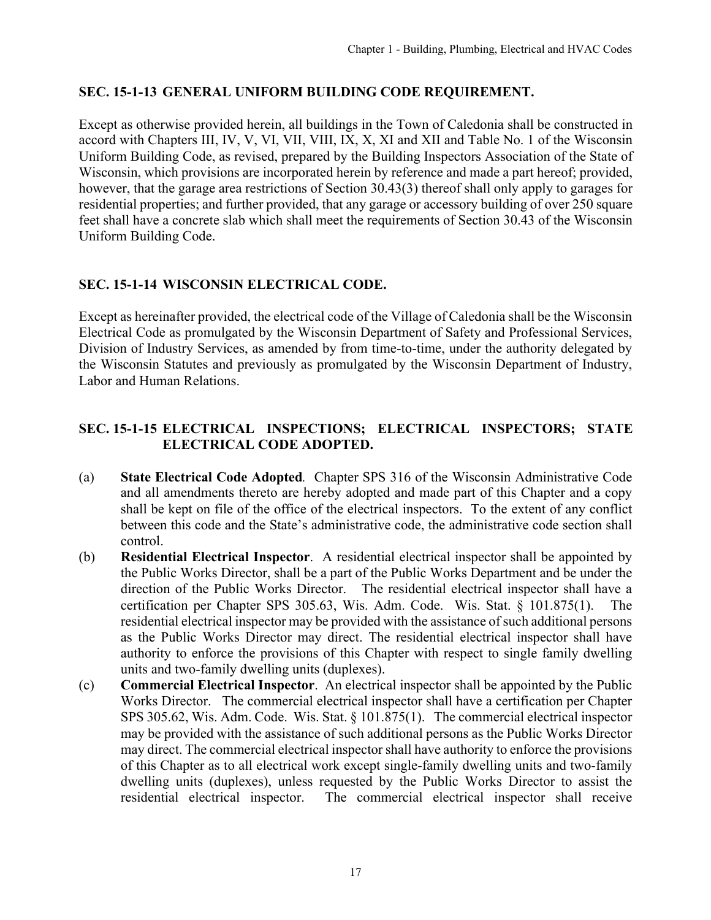# <span id="page-16-0"></span>**SEC. 15-1-13 GENERAL UNIFORM BUILDING CODE REQUIREMENT.**

Except as otherwise provided herein, all buildings in the Town of Caledonia shall be constructed in accord with Chapters III, IV, V, VI, VII, VIII, IX, X, XI and XII and Table No. 1 of the Wisconsin Uniform Building Code, as revised, prepared by the Building Inspectors Association of the State of Wisconsin, which provisions are incorporated herein by reference and made a part hereof; provided, however, that the garage area restrictions of Section 30.43(3) thereof shall only apply to garages for residential properties; and further provided, that any garage or accessory building of over 250 square feet shall have a concrete slab which shall meet the requirements of Section 30.43 of the Wisconsin Uniform Building Code.

# **SEC. 15-1-14 WISCONSIN ELECTRICAL CODE.**

Except as hereinafter provided, the electrical code of the Village of Caledonia shall be the Wisconsin Electrical Code as promulgated by the Wisconsin Department of Safety and Professional Services, Division of Industry Services, as amended by from time-to-time, under the authority delegated by the Wisconsin Statutes and previously as promulgated by the Wisconsin Department of Industry, Labor and Human Relations.

# **SEC. 15-1-15 ELECTRICAL INSPECTIONS; ELECTRICAL INSPECTORS; STATE ELECTRICAL CODE ADOPTED.**

- (a) **State Electrical Code Adopted***.* Chapter SPS 316 of the Wisconsin Administrative Code and all amendments thereto are hereby adopted and made part of this Chapter and a copy shall be kept on file of the office of the electrical inspectors. To the extent of any conflict between this code and the State's administrative code, the administrative code section shall control.
- (b) **Residential Electrical Inspector**. A residential electrical inspector shall be appointed by the Public Works Director, shall be a part of the Public Works Department and be under the direction of the Public Works Director. The residential electrical inspector shall have a certification per Chapter SPS 305.63, Wis. Adm. Code. Wis. Stat. § 101.875(1). The residential electrical inspector may be provided with the assistance of such additional persons as the Public Works Director may direct. The residential electrical inspector shall have authority to enforce the provisions of this Chapter with respect to single family dwelling units and two-family dwelling units (duplexes).
- (c) **Commercial Electrical Inspector**. An electrical inspector shall be appointed by the Public Works Director. The commercial electrical inspector shall have a certification per Chapter SPS 305.62, Wis. Adm. Code. Wis. Stat. § 101.875(1). The commercial electrical inspector may be provided with the assistance of such additional persons as the Public Works Director may direct. The commercial electrical inspector shall have authority to enforce the provisions of this Chapter as to all electrical work except single-family dwelling units and two-family dwelling units (duplexes), unless requested by the Public Works Director to assist the residential electrical inspector. The commercial electrical inspector shall receive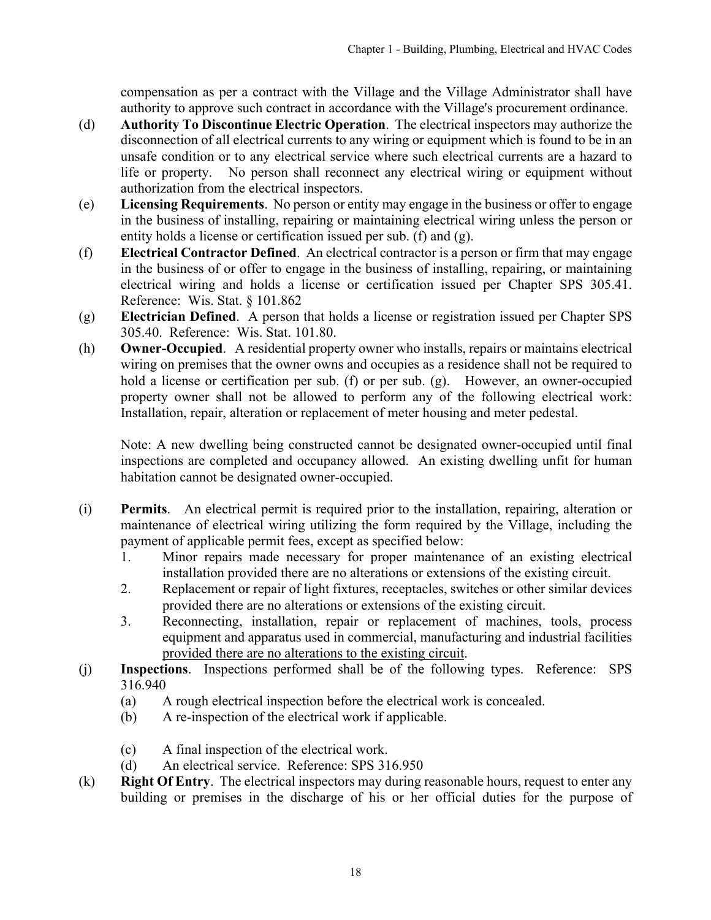compensation as per a contract with the Village and the Village Administrator shall have authority to approve such contract in accordance with the Village's procurement ordinance.

- (d) **Authority To Discontinue Electric Operation**. The electrical inspectors may authorize the disconnection of all electrical currents to any wiring or equipment which is found to be in an unsafe condition or to any electrical service where such electrical currents are a hazard to life or property. No person shall reconnect any electrical wiring or equipment without authorization from the electrical inspectors.
- (e) **Licensing Requirements**. No person or entity may engage in the business or offer to engage in the business of installing, repairing or maintaining electrical wiring unless the person or entity holds a license or certification issued per sub. (f) and (g).
- (f) **Electrical Contractor Defined**. An electrical contractor is a person or firm that may engage in the business of or offer to engage in the business of installing, repairing, or maintaining electrical wiring and holds a license or certification issued per Chapter SPS 305.41. Reference: Wis. Stat. § 101.862
- (g) **Electrician Defined**. A person that holds a license or registration issued per Chapter SPS 305.40. Reference: Wis. Stat. 101.80.
- (h) **Owner-Occupied**. A residential property owner who installs, repairs or maintains electrical wiring on premises that the owner owns and occupies as a residence shall not be required to hold a license or certification per sub. (f) or per sub. (g). However, an owner-occupied property owner shall not be allowed to perform any of the following electrical work: Installation, repair, alteration or replacement of meter housing and meter pedestal.

Note: A new dwelling being constructed cannot be designated owner-occupied until final inspections are completed and occupancy allowed. An existing dwelling unfit for human habitation cannot be designated owner-occupied.

- (i) **Permits**. An electrical permit is required prior to the installation, repairing, alteration or maintenance of electrical wiring utilizing the form required by the Village, including the payment of applicable permit fees, except as specified below:
	- 1. Minor repairs made necessary for proper maintenance of an existing electrical installation provided there are no alterations or extensions of the existing circuit.
	- 2. Replacement or repair of light fixtures, receptacles, switches or other similar devices provided there are no alterations or extensions of the existing circuit.
	- 3. Reconnecting, installation, repair or replacement of machines, tools, process equipment and apparatus used in commercial, manufacturing and industrial facilities provided there are no alterations to the existing circuit.
- (j) **Inspections**. Inspections performed shall be of the following types. Reference: SPS 316.940
	- (a) A rough electrical inspection before the electrical work is concealed.
	- (b) A re-inspection of the electrical work if applicable.
	- (c) A final inspection of the electrical work.
	- (d) An electrical service. Reference: SPS 316.950
- (k) **Right Of Entry**. The electrical inspectors may during reasonable hours, request to enter any building or premises in the discharge of his or her official duties for the purpose of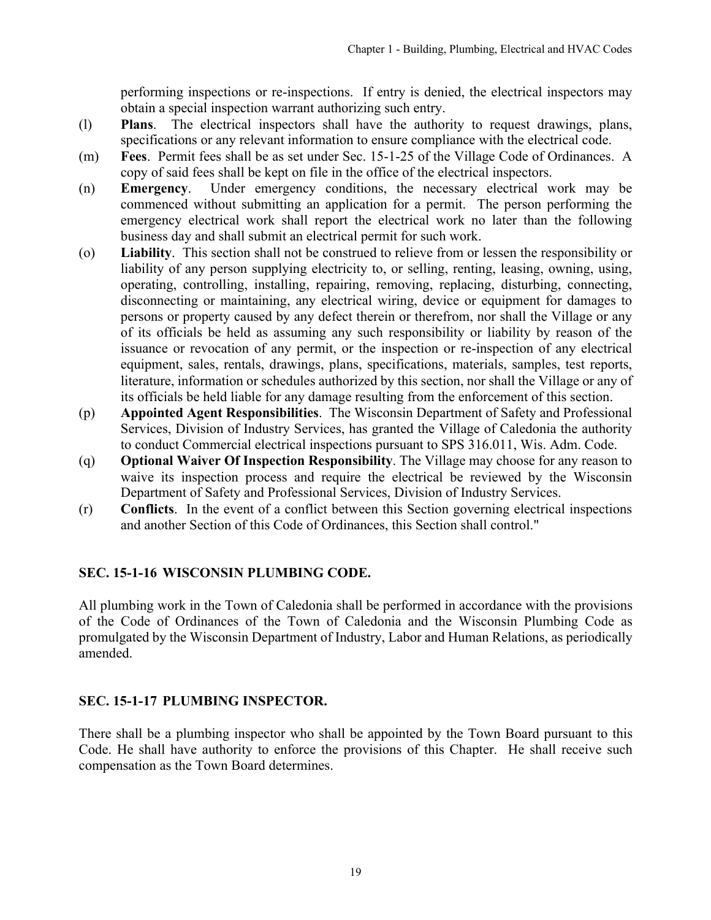performing inspections or re-inspections. If entry is denied, the electrical inspectors may obtain a special inspection warrant authorizing such entry.

- <span id="page-18-0"></span>(l) **Plans**. The electrical inspectors shall have the authority to request drawings, plans, specifications or any relevant information to ensure compliance with the electrical code.
- (m) **Fees**. Permit fees shall be as set under Sec. 15-1-25 of the Village Code of Ordinances. A copy of said fees shall be kept on file in the office of the electrical inspectors.
- (n) **Emergency**. Under emergency conditions, the necessary electrical work may be commenced without submitting an application for a permit. The person performing the emergency electrical work shall report the electrical work no later than the following business day and shall submit an electrical permit for such work.
- (o) **Liability**. This section shall not be construed to relieve from or lessen the responsibility or liability of any person supplying electricity to, or selling, renting, leasing, owning, using, operating, controlling, installing, repairing, removing, replacing, disturbing, connecting, disconnecting or maintaining, any electrical wiring, device or equipment for damages to persons or property caused by any defect therein or therefrom, nor shall the Village or any of its officials be held as assuming any such responsibility or liability by reason of the issuance or revocation of any permit, or the inspection or re-inspection of any electrical equipment, sales, rentals, drawings, plans, specifications, materials, samples, test reports, literature, information or schedules authorized by this section, nor shall the Village or any of its officials be held liable for any damage resulting from the enforcement of this section.
- (p) **Appointed Agent Responsibilities**. The Wisconsin Department of Safety and Professional Services, Division of Industry Services, has granted the Village of Caledonia the authority to conduct Commercial electrical inspections pursuant to SPS 316.011, Wis. Adm. Code.
- (q) **Optional Waiver Of Inspection Responsibility**. The Village may choose for any reason to waive its inspection process and require the electrical be reviewed by the Wisconsin Department of Safety and Professional Services, Division of Industry Services.
- (r) **Conflicts**. In the event of a conflict between this Section governing electrical inspections and another Section of this Code of Ordinances, this Section shall control."

# **SEC. 15-1-16 WISCONSIN PLUMBING CODE.**

All plumbing work in the Town of Caledonia shall be performed in accordance with the provisions of the Code of Ordinances of the Town of Caledonia and the Wisconsin Plumbing Code as promulgated by the Wisconsin Department of Industry, Labor and Human Relations, as periodically amended.

# **SEC. 15-1-17 PLUMBING INSPECTOR.**

There shall be a plumbing inspector who shall be appointed by the Town Board pursuant to this Code. He shall have authority to enforce the provisions of this Chapter. He shall receive such compensation as the Town Board determines.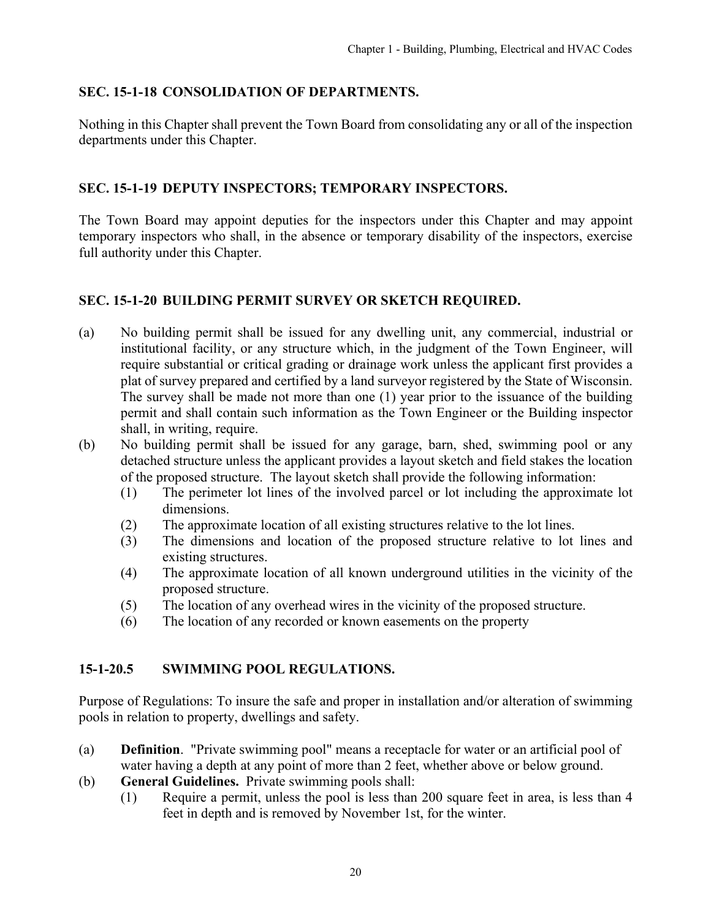### <span id="page-19-0"></span>**SEC. 15-1-18 CONSOLIDATION OF DEPARTMENTS.**

Nothing in this Chapter shall prevent the Town Board from consolidating any or all of the inspection departments under this Chapter.

#### **SEC. 15-1-19 DEPUTY INSPECTORS; TEMPORARY INSPECTORS.**

The Town Board may appoint deputies for the inspectors under this Chapter and may appoint temporary inspectors who shall, in the absence or temporary disability of the inspectors, exercise full authority under this Chapter.

# **SEC. 15-1-20 BUILDING PERMIT SURVEY OR SKETCH REQUIRED.**

- (a) No building permit shall be issued for any dwelling unit, any commercial, industrial or institutional facility, or any structure which, in the judgment of the Town Engineer, will require substantial or critical grading or drainage work unless the applicant first provides a plat of survey prepared and certified by a land surveyor registered by the State of Wisconsin. The survey shall be made not more than one (1) year prior to the issuance of the building permit and shall contain such information as the Town Engineer or the Building inspector shall, in writing, require.
- (b) No building permit shall be issued for any garage, barn, shed, swimming pool or any detached structure unless the applicant provides a layout sketch and field stakes the location of the proposed structure. The layout sketch shall provide the following information:
	- (1) The perimeter lot lines of the involved parcel or lot including the approximate lot dimensions.
	- (2) The approximate location of all existing structures relative to the lot lines.
	- (3) The dimensions and location of the proposed structure relative to lot lines and existing structures.
	- (4) The approximate location of all known underground utilities in the vicinity of the proposed structure.
	- (5) The location of any overhead wires in the vicinity of the proposed structure.
	- (6) The location of any recorded or known easements on the property

#### **15-1-20.5 SWIMMING POOL REGULATIONS.**

Purpose of Regulations: To insure the safe and proper in installation and/or alteration of swimming pools in relation to property, dwellings and safety.

- (a) **Definition**. "Private swimming pool" means a receptacle for water or an artificial pool of water having a depth at any point of more than 2 feet, whether above or below ground.
- (b) **General Guidelines.** Private swimming pools shall:
	- (1) Require a permit, unless the pool is less than 200 square feet in area, is less than 4 feet in depth and is removed by November 1st, for the winter.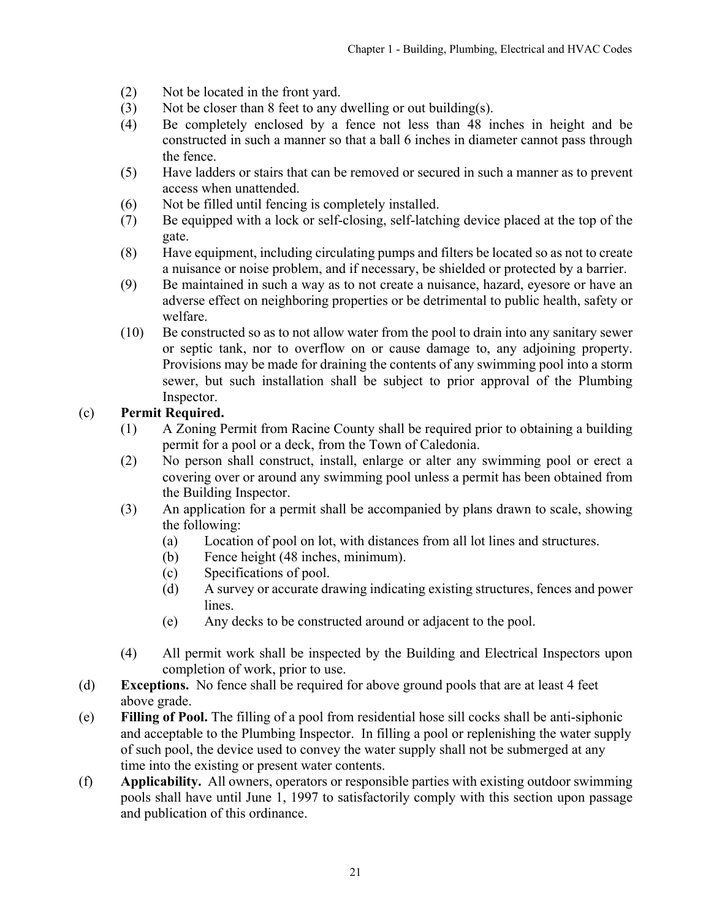- (2) Not be located in the front yard.
- (3) Not be closer than 8 feet to any dwelling or out building(s).
- (4) Be completely enclosed by a fence not less than 48 inches in height and be constructed in such a manner so that a ball 6 inches in diameter cannot pass through the fence.
- (5) Have ladders or stairs that can be removed or secured in such a manner as to prevent access when unattended.
- (6) Not be filled until fencing is completely installed.
- (7) Be equipped with a lock or self-closing, self-latching device placed at the top of the gate.
- (8) Have equipment, including circulating pumps and filters be located so as not to create a nuisance or noise problem, and if necessary, be shielded or protected by a barrier.
- (9) Be maintained in such a way as to not create a nuisance, hazard, eyesore or have an adverse effect on neighboring properties or be detrimental to public health, safety or welfare.
- (10) Be constructed so as to not allow water from the pool to drain into any sanitary sewer or septic tank, nor to overflow on or cause damage to, any adjoining property. Provisions may be made for draining the contents of any swimming pool into a storm sewer, but such installation shall be subject to prior approval of the Plumbing Inspector.

# (c) **Permit Required.**

- (1) A Zoning Permit from Racine County shall be required prior to obtaining a building permit for a pool or a deck, from the Town of Caledonia.
- (2) No person shall construct, install, enlarge or alter any swimming pool or erect a covering over or around any swimming pool unless a permit has been obtained from the Building Inspector.
- (3) An application for a permit shall be accompanied by plans drawn to scale, showing the following:
	- (a) Location of pool on lot, with distances from all lot lines and structures.
	- (b) Fence height (48 inches, minimum).
	- (c) Specifications of pool.
	- (d) A survey or accurate drawing indicating existing structures, fences and power lines.
	- (e) Any decks to be constructed around or adjacent to the pool.
- (4) All permit work shall be inspected by the Building and Electrical Inspectors upon completion of work, prior to use.
- (d) **Exceptions.** No fence shall be required for above ground pools that are at least 4 feet above grade.
- (e) **Filling of Pool.** The filling of a pool from residential hose sill cocks shall be anti-siphonic and acceptable to the Plumbing Inspector. In filling a pool or replenishing the water supply of such pool, the device used to convey the water supply shall not be submerged at any time into the existing or present water contents.
- (f) **Applicability.** All owners, operators or responsible parties with existing outdoor swimming pools shall have until June 1, 1997 to satisfactorily comply with this section upon passage and publication of this ordinance.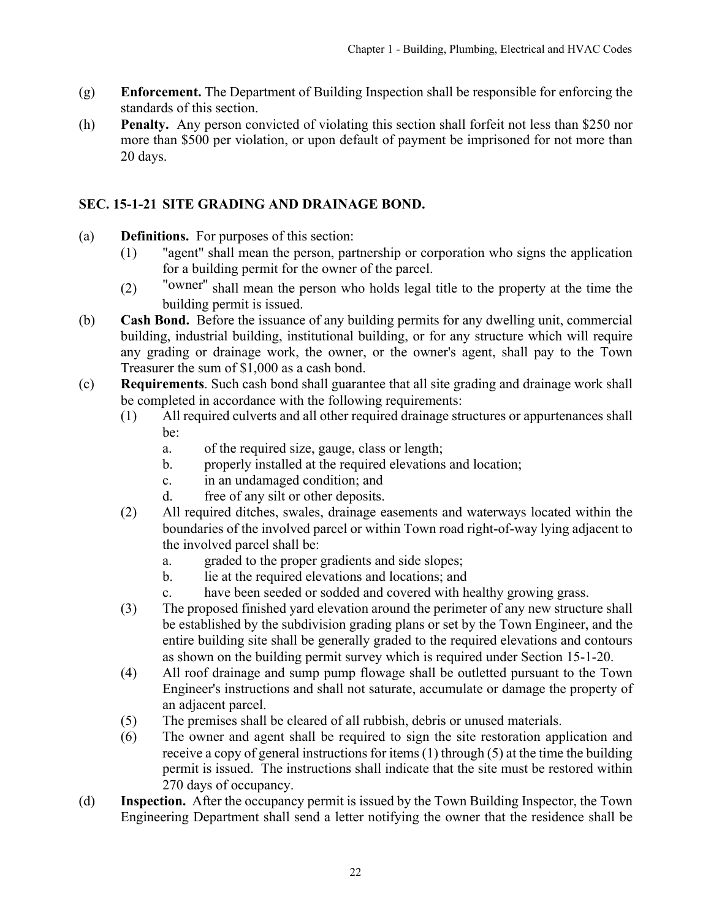- <span id="page-21-0"></span>(g) **Enforcement.** The Department of Building Inspection shall be responsible for enforcing the standards of this section.
- (h) **Penalty.** Any person convicted of violating this section shall forfeit not less than \$250 nor more than \$500 per violation, or upon default of payment be imprisoned for not more than 20 days.

# **SEC. 15-1-21 SITE GRADING AND DRAINAGE BOND.**

- (a) **Definitions.** For purposes of this section:
	- (1) "agent" shall mean the person, partnership or corporation who signs the application for a building permit for the owner of the parcel.
	- (2) "owner'' shall mean the person who holds legal title to the property at the time the building permit is issued.
- (b) **Cash Bond.** Before the issuance of any building permits for any dwelling unit, commercial building, industrial building, institutional building, or for any structure which will require any grading or drainage work, the owner, or the owner's agent, shall pay to the Town Treasurer the sum of \$1,000 as a cash bond.
- (c) **Requirements**. Such cash bond shall guarantee that all site grading and drainage work shall be completed in accordance with the following requirements:
	- (1) All required culverts and all other required drainage structures or appurtenances shall be:
		- a. of the required size, gauge, class or length;
		- b. properly installed at the required elevations and location;
		- c. in an undamaged condition; and
		- d. free of any silt or other deposits.
	- (2) All required ditches, swales, drainage easements and waterways located within the boundaries of the involved parcel or within Town road right-of-way lying adjacent to the involved parcel shall be:
		- a. graded to the proper gradients and side slopes;
		- b. lie at the required elevations and locations; and
		- c. have been seeded or sodded and covered with healthy growing grass.
	- (3) The proposed finished yard elevation around the perimeter of any new structure shall be established by the subdivision grading plans or set by the Town Engineer, and the entire building site shall be generally graded to the required elevations and contours as shown on the building permit survey which is required under Section 15-1-20.
	- (4) All roof drainage and sump pump flowage shall be outletted pursuant to the Town Engineer's instructions and shall not saturate, accumulate or damage the property of an adjacent parcel.
	- (5) The premises shall be cleared of all rubbish, debris or unused materials.
	- (6) The owner and agent shall be required to sign the site restoration application and receive a copy of general instructions for items (1) through (5) at the time the building permit is issued. The instructions shall indicate that the site must be restored within 270 days of occupancy.
- (d) **Inspection.** After the occupancy permit is issued by the Town Building Inspector, the Town Engineering Department shall send a letter notifying the owner that the residence shall be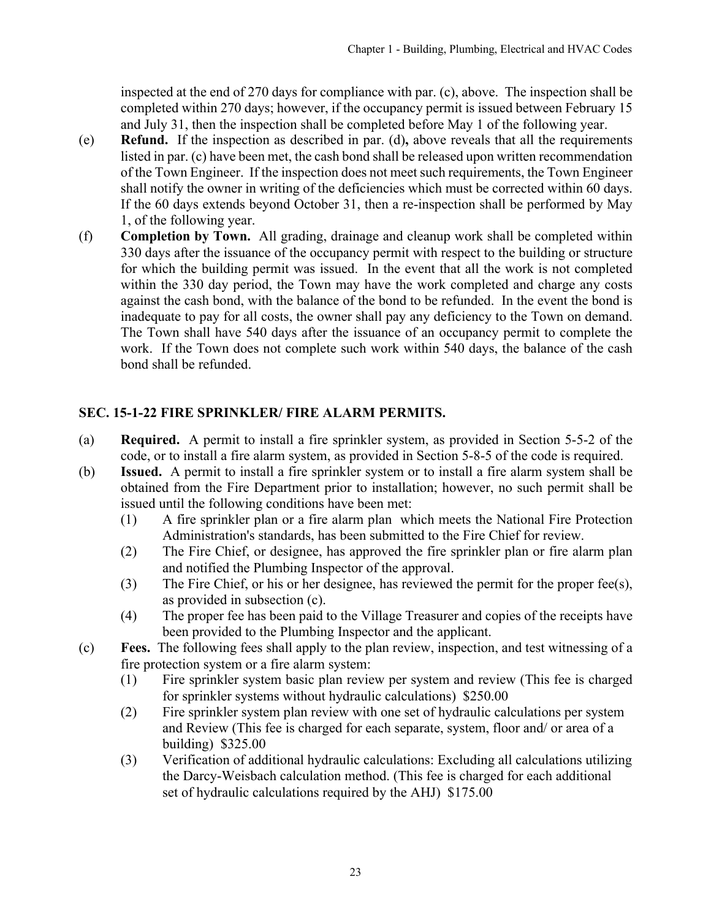<span id="page-22-0"></span>inspected at the end of 270 days for compliance with par. (c), above. The inspection shall be completed within 270 days; however, if the occupancy permit is issued between February 15 and July 31, then the inspection shall be completed before May 1 of the following year.

- (e) **Refund.** If the inspection as described in par. (d)**,** above reveals that all the requirements listed in par. (c) have been met, the cash bond shall be released upon written recommendation of the Town Engineer. If the inspection does not meet such requirements, the Town Engineer shall notify the owner in writing of the deficiencies which must be corrected within 60 days. If the 60 days extends beyond October 31, then a re-inspection shall be performed by May 1, of the following year.
- (f) **Completion by Town.** All grading, drainage and cleanup work shall be completed within 330 days after the issuance of the occupancy permit with respect to the building or structure for which the building permit was issued. In the event that all the work is not completed within the 330 day period, the Town may have the work completed and charge any costs against the cash bond, with the balance of the bond to be refunded. In the event the bond is inadequate to pay for all costs, the owner shall pay any deficiency to the Town on demand. The Town shall have 540 days after the issuance of an occupancy permit to complete the work. If the Town does not complete such work within 540 days, the balance of the cash bond shall be refunded.

# **SEC. 15-1-22 FIRE SPRINKLER/ FIRE ALARM PERMITS.**

- (a) **Required.** A permit to install a fire sprinkler system, as provided in Section 5-5-2 of the code, or to install a fire alarm system, as provided in Section 5-8-5 of the code is required.
- (b) **Issued.** A permit to install a fire sprinkler system or to install a fire alarm system shall be obtained from the Fire Department prior to installation; however, no such permit shall be issued until the following conditions have been met:
	- (1) A fire sprinkler plan or a fire alarm plan which meets the National Fire Protection Administration's standards, has been submitted to the Fire Chief for review.
	- (2) The Fire Chief, or designee, has approved the fire sprinkler plan or fire alarm plan and notified the Plumbing Inspector of the approval.
	- (3) The Fire Chief, or his or her designee, has reviewed the permit for the proper fee(s), as provided in subsection (c).
	- (4) The proper fee has been paid to the Village Treasurer and copies of the receipts have been provided to the Plumbing Inspector and the applicant.
- (c) **Fees.** The following fees shall apply to the plan review, inspection, and test witnessing of a fire protection system or a fire alarm system:
	- (1) Fire sprinkler system basic plan review per system and review (This fee is charged for sprinkler systems without hydraulic calculations) \$250.00
	- (2) Fire sprinkler system plan review with one set of hydraulic calculations per system and Review (This fee is charged for each separate, system, floor and/ or area of a building) \$325.00
	- (3) Verification of additional hydraulic calculations: Excluding all calculations utilizing the Darcy-Weisbach calculation method. (This fee is charged for each additional set of hydraulic calculations required by the AHJ) \$175.00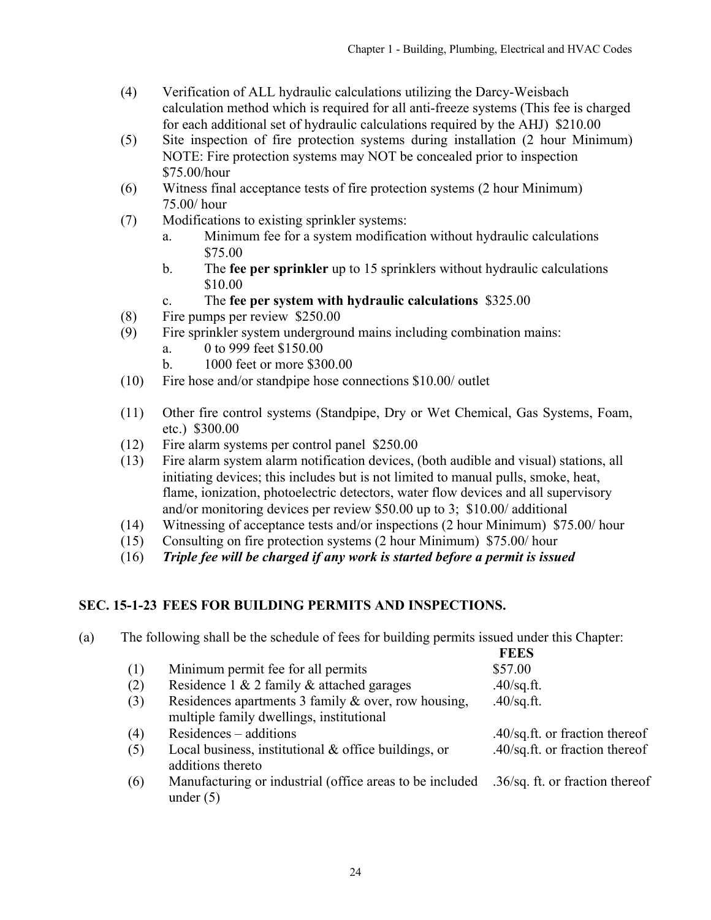- <span id="page-23-0"></span>(4) Verification of ALL hydraulic calculations utilizing the Darcy-Weisbach calculation method which is required for all anti-freeze systems (This fee is charged for each additional set of hydraulic calculations required by the AHJ) \$210.00
- (5) Site inspection of fire protection systems during installation (2 hour Minimum) NOTE: Fire protection systems may NOT be concealed prior to inspection \$75.00/hour
- (6) Witness final acceptance tests of fire protection systems (2 hour Minimum) 75.00/ hour
- (7) Modifications to existing sprinkler systems:
	- a. Minimum fee for a system modification without hydraulic calculations \$75.00
	- b. The **fee per sprinkler** up to 15 sprinklers without hydraulic calculations \$10.00
	- c. The **fee per system with hydraulic calculations** \$325.00
- (8) Fire pumps per review \$250.00
- (9) Fire sprinkler system underground mains including combination mains:
	- a. 0 to 999 feet \$150.00
	- b. 1000 feet or more \$300.00
- (10) Fire hose and/or standpipe hose connections \$10.00/ outlet
- (11) Other fire control systems (Standpipe, Dry or Wet Chemical, Gas Systems, Foam, etc.) \$300.00
- (12) Fire alarm systems per control panel \$250.00
- (13) Fire alarm system alarm notification devices, (both audible and visual) stations, all initiating devices; this includes but is not limited to manual pulls, smoke, heat, flame, ionization, photoelectric detectors, water flow devices and all supervisory and/or monitoring devices per review \$50.00 up to 3; \$10.00/ additional
- (14) Witnessing of acceptance tests and/or inspections (2 hour Minimum) \$75.00/ hour
- (15) Consulting on fire protection systems (2 hour Minimum) \$75.00/ hour
- (16) *Triple fee will be charged if any work is started before a permit is issued*

# **SEC. 15-1-23 FEES FOR BUILDING PERMITS AND INSPECTIONS.**

(a) The following shall be the schedule of fees for building permits issued under this Chapter: **FEES**

|     |                                                                                                 | PEDA                            |
|-----|-------------------------------------------------------------------------------------------------|---------------------------------|
| (1) | Minimum permit fee for all permits                                                              | \$57.00                         |
| (2) | Residence 1 & 2 family & attached garages                                                       | $.40$ /sq.ft.                   |
| (3) | Residences apartments 3 family & over, row housing,<br>multiple family dwellings, institutional | $.40$ /sq.ft.                   |
| (4) | Residences – additions                                                                          | .40/sq.ft. or fraction thereof  |
| (5) | Local business, institutional $&$ office buildings, or<br>additions thereto                     | .40/sq.ft. or fraction thereof  |
| (6) | Manufacturing or industrial (office areas to be included<br>under $(5)$                         | .36/sq. ft. or fraction thereof |
|     |                                                                                                 |                                 |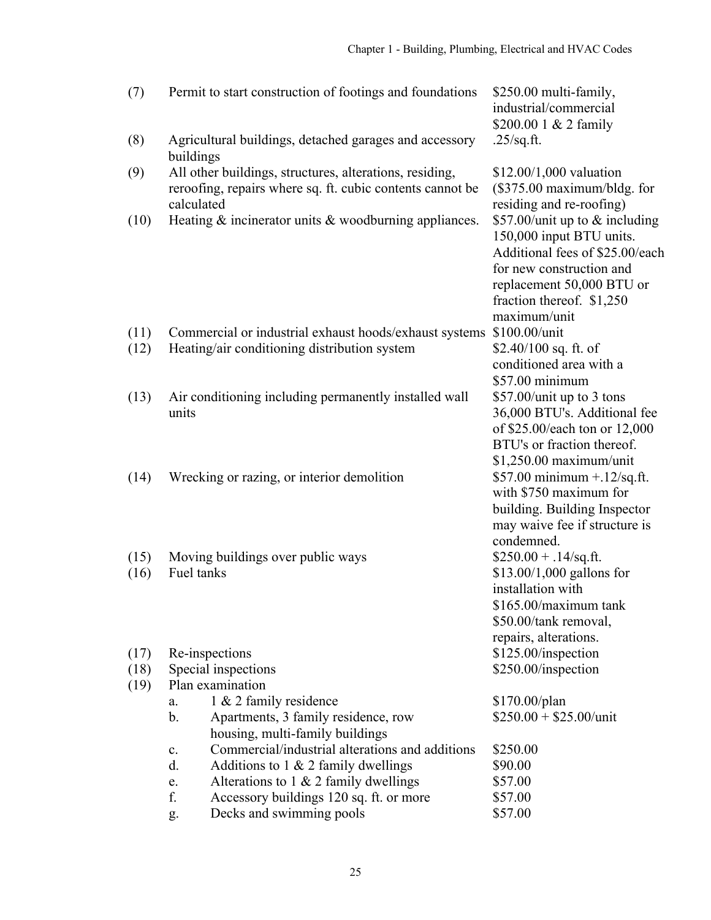| (7)          | Permit to start construction of footings and foundations                                                                           | \$250.00 multi-family,<br>industrial/commercial<br>\$200.00 1 & 2 family                                                                                                                              |
|--------------|------------------------------------------------------------------------------------------------------------------------------------|-------------------------------------------------------------------------------------------------------------------------------------------------------------------------------------------------------|
| (8)          | Agricultural buildings, detached garages and accessory<br>buildings                                                                | $.25$ /sq.ft.                                                                                                                                                                                         |
| (9)          | All other buildings, structures, alterations, residing,<br>reroofing, repairs where sq. ft. cubic contents cannot be<br>calculated | $$12.00/1,000$ valuation<br>$(\$375.00$ maximum/bldg. for<br>residing and re-roofing)                                                                                                                 |
| (10)         | Heating $\&$ incinerator units $\&$ woodburning appliances.                                                                        | \$57.00/unit up to $&$ including<br>150,000 input BTU units.<br>Additional fees of \$25.00/each<br>for new construction and<br>replacement 50,000 BTU or<br>fraction thereof. \$1,250<br>maximum/unit |
| (11)<br>(12) | Commercial or industrial exhaust hoods/exhaust systems<br>Heating/air conditioning distribution system                             | \$100.00/unit<br>$$2.40/100$ sq. ft. of<br>conditioned area with a<br>\$57.00 minimum                                                                                                                 |
| (13)         | Air conditioning including permanently installed wall<br>units                                                                     | $$57.00$ /unit up to 3 tons<br>36,000 BTU's. Additional fee<br>of \$25.00/each ton or 12,000<br>BTU's or fraction thereof.<br>$$1,250.00$ maximum/unit                                                |
| (14)         | Wrecking or razing, or interior demolition                                                                                         | \$57.00 minimum $+$ .12/sq.ft.<br>with \$750 maximum for<br>building. Building Inspector<br>may waive fee if structure is<br>condemned.                                                               |
| (15)<br>(16) | Moving buildings over public ways<br>Fuel tanks                                                                                    | $$250.00 + .14$ /sq.ft.<br>$$13.00/1,000$ gallons for<br>installation with<br>$$165.00/maximum$ tank<br>\$50.00/tank removal,<br>repairs, alterations.                                                |
| (17)         | Re-inspections                                                                                                                     | \$125.00/inspection                                                                                                                                                                                   |
| (18)<br>(19) | Special inspections<br>Plan examination                                                                                            | \$250.00/inspection                                                                                                                                                                                   |
|              | 1 & 2 family residence<br>a.                                                                                                       | \$170.00/plan                                                                                                                                                                                         |
|              | b.<br>Apartments, 3 family residence, row<br>housing, multi-family buildings                                                       | $$250.00 + $25.00/$ unit                                                                                                                                                                              |
|              | Commercial/industrial alterations and additions<br>${\bf c}.$                                                                      | \$250.00                                                                                                                                                                                              |
|              | d.<br>Additions to $1 \& 2$ family dwellings                                                                                       | \$90.00                                                                                                                                                                                               |
|              | Alterations to $1 \& 2$ family dwellings<br>e.                                                                                     | \$57.00                                                                                                                                                                                               |
|              | f.<br>Accessory buildings 120 sq. ft. or more                                                                                      | \$57.00                                                                                                                                                                                               |
|              | Decks and swimming pools<br>g.                                                                                                     | \$57.00                                                                                                                                                                                               |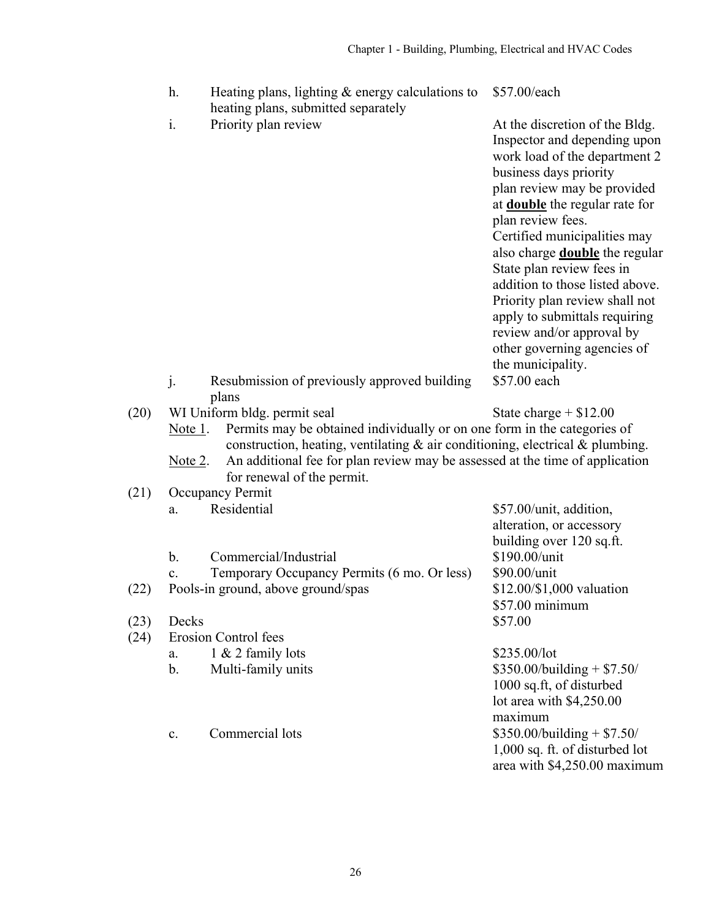| h. | Heating plans, lighting $&$ energy calculations to | \$57 |
|----|----------------------------------------------------|------|
|    | heating plans, submitted separately                |      |

i. Priority plan review At the discretion of the Bldg.

 $.00$ /each

Inspector and depending upon work load of the department 2 business days priority plan review may be provided at **double** the regular rate for plan review fees. Certified municipalities may also charge **double** the regular State plan review fees in addition to those listed above. Priority plan review shall not apply to submittals requiring review and/or approval by other governing agencies of the municipality. \$57.00 each

- j. Resubmission of previously approved building plans
- (20) WI Uniform bldg. permit seal  $\qquad \qquad$  State charge + \$12.00
	- Note 1. Permits may be obtained individually or on one form in the categories of construction, heating, ventilating & air conditioning, electrical & plumbing.
	- Note 2. An additional fee for plan review may be assessed at the time of application for renewal of the permit.
- (21) Occupancy Permit
	- a. Residential  $$57.00/unit$ , addition,
	- b. Commercial/Industrial \$190.00/unit
- c. Temporary Occupancy Permits (6 mo. Or less) \$90.00/unit
- (22) Pools-in ground, above ground/spas \$12.00/\$1,000 valuation
- (23) Decks  $$57.00$
- (24) Erosion Control fees
	- a.  $1 \& 2 \t{family}$  lots  $$235.00/lot$
	-

alteration, or accessory building over 120 sq.ft. \$57.00 minimum

b. Multi-family units  $$350.00/building + $7.50/$ 1000 sq.ft, of disturbed lot area with \$4,250.00 maximum c. Commercial lots  $$350.00/building + $7.50/$ 1,000 sq. ft. of disturbed lot area with \$4,250.00 maximum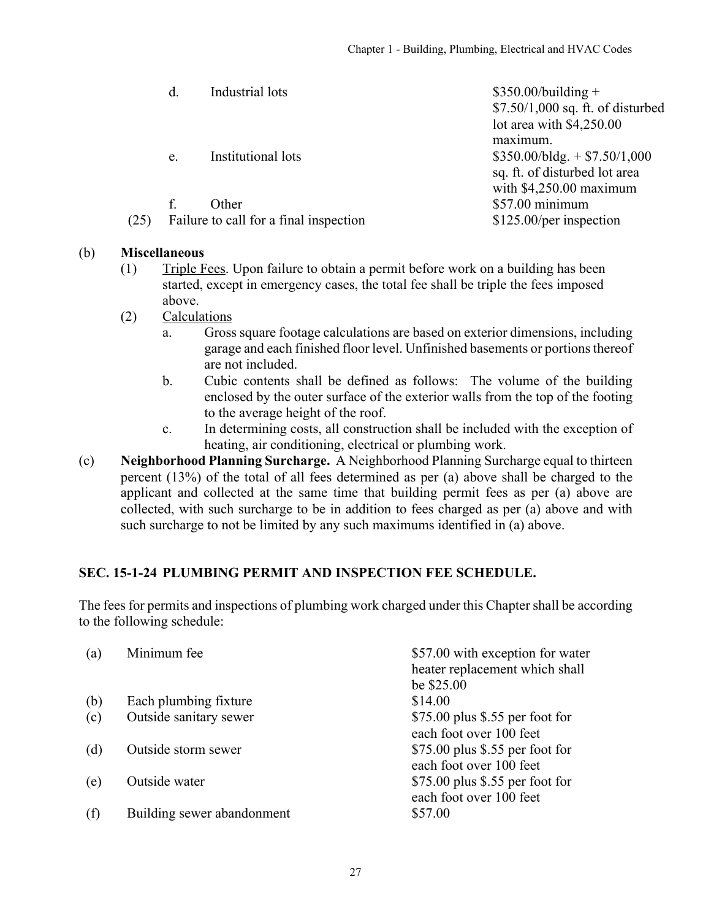<span id="page-26-0"></span>

|      | d. | Industrial lots                        | $$350.00/building +$                                            |
|------|----|----------------------------------------|-----------------------------------------------------------------|
|      |    |                                        | $$7.50/1,000$ sq. ft. of disturbed<br>lot area with $$4,250.00$ |
|      |    |                                        | maximum.                                                        |
|      | e. | Institutional lots                     | $$350.00/b$ ldg. + \$7.50/1,000                                 |
|      |    |                                        | sq. ft. of disturbed lot area                                   |
|      |    |                                        | with $$4,250.00$ maximum                                        |
|      | f. | Other                                  | \$57.00 minimum                                                 |
| (25) |    | Failure to call for a final inspection | \$125.00/per inspection                                         |
|      |    |                                        |                                                                 |

#### (b) **Miscellaneous**

- (1) Triple Fees. Upon failure to obtain a permit before work on a building has been started, except in emergency cases, the total fee shall be triple the fees imposed above.
- (2) Calculations
	- a. Gross square footage calculations are based on exterior dimensions, including garage and each finished floor level. Unfinished basements or portions thereof are not included.
	- b. Cubic contents shall be defined as follows: The volume of the building enclosed by the outer surface of the exterior walls from the top of the footing to the average height of the roof.
	- c. In determining costs, all construction shall be included with the exception of heating, air conditioning, electrical or plumbing work.
- (c) **Neighborhood Planning Surcharge.** A Neighborhood Planning Surcharge equal to thirteen percent (13%) of the total of all fees determined as per (a) above shall be charged to the applicant and collected at the same time that building permit fees as per (a) above are collected, with such surcharge to be in addition to fees charged as per (a) above and with such surcharge to not be limited by any such maximums identified in (a) above.

# **SEC. 15-1-24 PLUMBING PERMIT AND INSPECTION FEE SCHEDULE.**

The fees for permits and inspections of plumbing work charged under this Chapter shall be according to the following schedule:

| (a) | Minimum fee                | \$57.00 with exception for water |
|-----|----------------------------|----------------------------------|
|     |                            | heater replacement which shall   |
|     |                            | be \$25.00                       |
| (b) | Each plumbing fixture      | \$14.00                          |
| (c) | Outside sanitary sewer     | $$75.00$ plus \$.55 per foot for |
|     |                            | each foot over 100 feet          |
| (d) | Outside storm sewer        | \$75.00 plus \$.55 per foot for  |
|     |                            | each foot over 100 feet          |
| (e) | Outside water              | $$75.00$ plus \$.55 per foot for |
|     |                            | each foot over 100 feet          |
| (f) | Building sewer abandonment | \$57.00                          |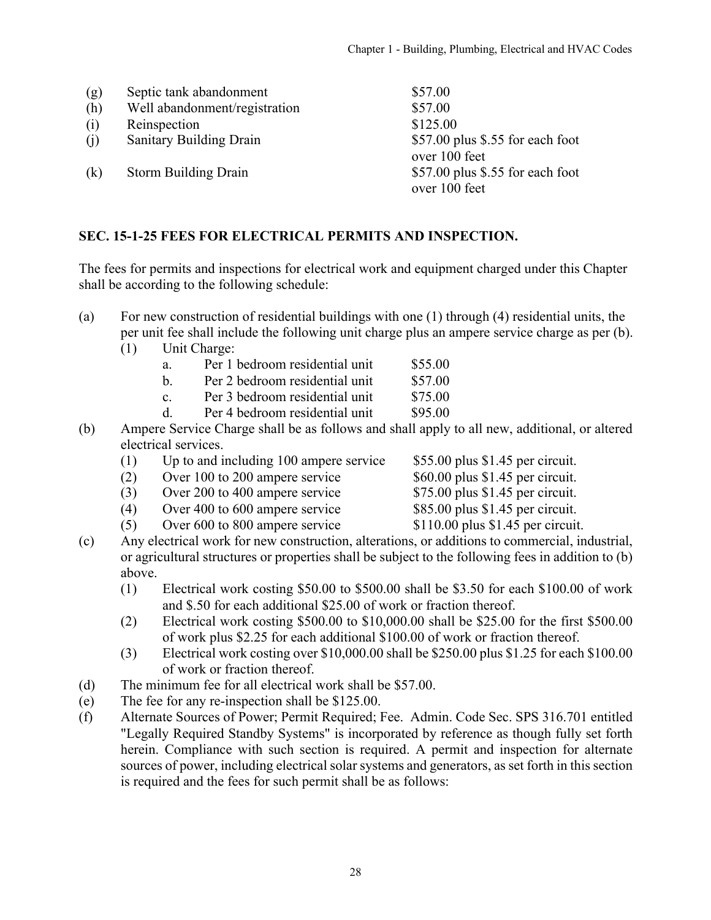<span id="page-27-0"></span>

| (g) | Septic tank abandonment        | \$57.00                                            |
|-----|--------------------------------|----------------------------------------------------|
| (h) | Well abandonment/registration  | \$57.00                                            |
| (i) | Reinspection                   | \$125.00                                           |
| (i) | <b>Sanitary Building Drain</b> | $$57.00$ plus \$.55 for each foot<br>over 100 feet |
| (k) | <b>Storm Building Drain</b>    | $$57.00$ plus \$.55 for each foot<br>over 100 feet |

#### **SEC. 15-1-25 FEES FOR ELECTRICAL PERMITS AND INSPECTION.**

The fees for permits and inspections for electrical work and equipment charged under this Chapter shall be according to the following schedule:

- (a) For new construction of residential buildings with one (1) through (4) residential units, the per unit fee shall include the following unit charge plus an ampere service charge as per (b).
	- (1) Unit Charge:
		- a. Per 1 bedroom residential unit \$55.00
		- b. Per 2 bedroom residential unit \$57.00
		- c. Per 3 bedroom residential unit \$75.00
		- d. Per 4 bedroom residential unit \$95.00
- (b) Ampere Service Charge shall be as follows and shall apply to all new, additional, or altered electrical services.
	- (1) Up to and including 100 ampere service \$55.00 plus \$1.45 per circuit.
	- (2) Over 100 to 200 ampere service \$60.00 plus \$1.45 per circuit.
	- (3) Over 200 to 400 ampere service \$75.00 plus \$1.45 per circuit.
	- (4) Over 400 to 600 ampere service \$85.00 plus \$1.45 per circuit.
		-
	- (5) Over 600 to 800 ampere service \$110.00 plus \$1.45 per circuit.
- (c) Any electrical work for new construction, alterations, or additions to commercial, industrial, or agricultural structures or properties shall be subject to the following fees in addition to (b) above.
	- (1) Electrical work costing \$50.00 to \$500.00 shall be \$3.50 for each \$100.00 of work and \$.50 for each additional \$25.00 of work or fraction thereof.
	- (2) Electrical work costing \$500.00 to \$10,000.00 shall be \$25.00 for the first \$500.00 of work plus \$2.25 for each additional \$100.00 of work or fraction thereof.
	- (3) Electrical work costing over \$10,000.00 shall be \$250.00 plus \$1.25 for each \$100.00 of work or fraction thereof.
- (d) The minimum fee for all electrical work shall be \$57.00.
- (e) The fee for any re-inspection shall be \$125.00.
- (f) Alternate Sources of Power; Permit Required; Fee. Admin. Code Sec. SPS 316.701 entitled "Legally Required Standby Systems" is incorporated by reference as though fully set forth herein. Compliance with such section is required. A permit and inspection for alternate sources of power, including electrical solar systems and generators, as set forth in this section is required and the fees for such permit shall be as follows: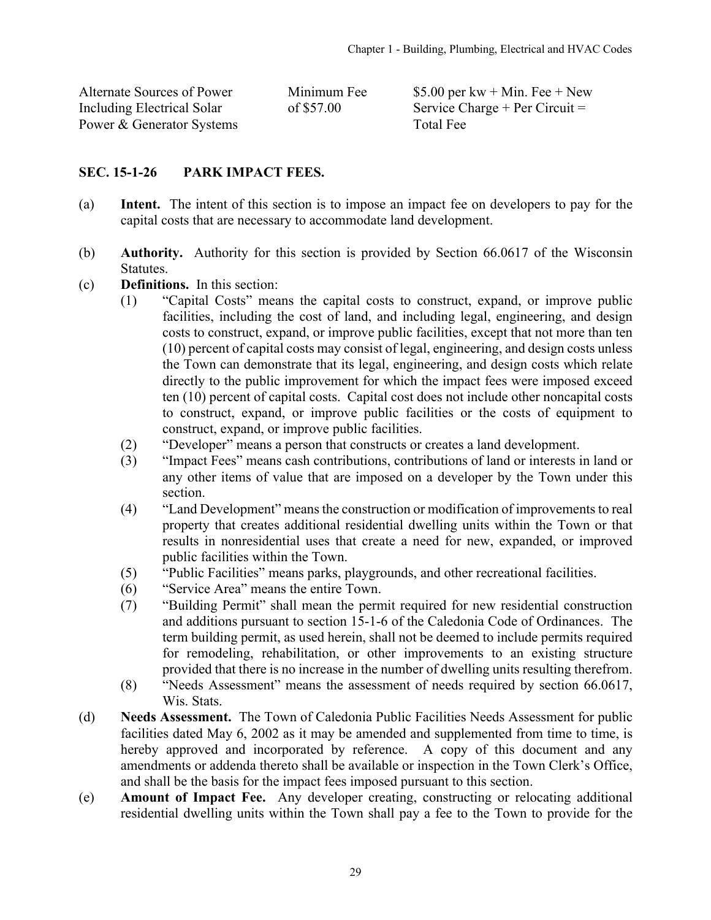<span id="page-28-0"></span>

| Alternate Sources of Power | Minimum Fee |
|----------------------------|-------------|
| Including Electrical Solar | of \$57.00  |
| Power & Generator Systems  |             |

\$5.00 per kw + Min. Fee + New Service Charge + Per Circuit  $=$ **Total Fee** 

### **SEC. 15-1-26 PARK IMPACT FEES.**

- (a) **Intent.** The intent of this section is to impose an impact fee on developers to pay for the capital costs that are necessary to accommodate land development.
- (b) **Authority.** Authority for this section is provided by Section 66.0617 of the Wisconsin Statutes.
- (c) **Definitions.** In this section:
	- (1) "Capital Costs" means the capital costs to construct, expand, or improve public facilities, including the cost of land, and including legal, engineering, and design costs to construct, expand, or improve public facilities, except that not more than ten (10) percent of capital costs may consist of legal, engineering, and design costs unless the Town can demonstrate that its legal, engineering, and design costs which relate directly to the public improvement for which the impact fees were imposed exceed ten (10) percent of capital costs. Capital cost does not include other noncapital costs to construct, expand, or improve public facilities or the costs of equipment to construct, expand, or improve public facilities.
	- (2) "Developer" means a person that constructs or creates a land development.
	- (3) "Impact Fees" means cash contributions, contributions of land or interests in land or any other items of value that are imposed on a developer by the Town under this section.
	- (4) "Land Development" means the construction or modification of improvements to real property that creates additional residential dwelling units within the Town or that results in nonresidential uses that create a need for new, expanded, or improved public facilities within the Town.
	- (5) "Public Facilities" means parks, playgrounds, and other recreational facilities.
	- (6) "Service Area" means the entire Town.
	- (7) "Building Permit" shall mean the permit required for new residential construction and additions pursuant to section 15-1-6 of the Caledonia Code of Ordinances. The term building permit, as used herein, shall not be deemed to include permits required for remodeling, rehabilitation, or other improvements to an existing structure provided that there is no increase in the number of dwelling units resulting therefrom.
	- (8) "Needs Assessment" means the assessment of needs required by section 66.0617, Wis. Stats.
- (d) **Needs Assessment.** The Town of Caledonia Public Facilities Needs Assessment for public facilities dated May 6, 2002 as it may be amended and supplemented from time to time, is hereby approved and incorporated by reference. A copy of this document and any amendments or addenda thereto shall be available or inspection in the Town Clerk's Office, and shall be the basis for the impact fees imposed pursuant to this section.
- (e) **Amount of Impact Fee.** Any developer creating, constructing or relocating additional residential dwelling units within the Town shall pay a fee to the Town to provide for the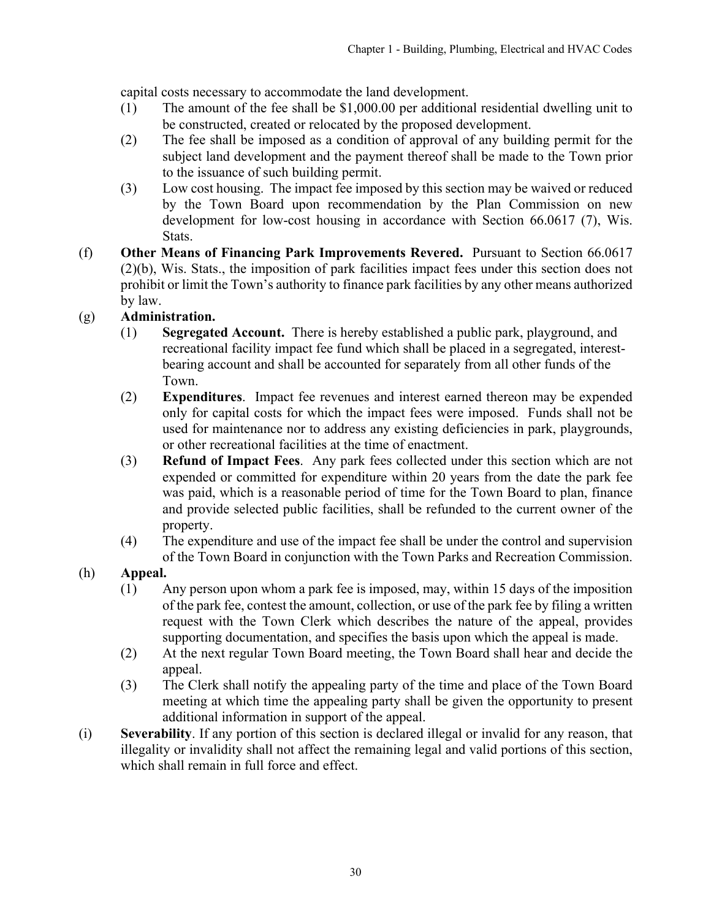capital costs necessary to accommodate the land development.

- (1) The amount of the fee shall be \$1,000.00 per additional residential dwelling unit to be constructed, created or relocated by the proposed development.
- (2) The fee shall be imposed as a condition of approval of any building permit for the subject land development and the payment thereof shall be made to the Town prior to the issuance of such building permit.
- (3) Low cost housing. The impact fee imposed by this section may be waived or reduced by the Town Board upon recommendation by the Plan Commission on new development for low-cost housing in accordance with Section 66.0617 (7), Wis. Stats.
- (f) **Other Means of Financing Park Improvements Revered.** Pursuant to Section 66.0617 (2)(b), Wis. Stats., the imposition of park facilities impact fees under this section does not prohibit or limit the Town's authority to finance park facilities by any other means authorized by law.

# (g) **Administration.**

- (1) **Segregated Account.** There is hereby established a public park, playground, and recreational facility impact fee fund which shall be placed in a segregated, interestbearing account and shall be accounted for separately from all other funds of the Town.
- (2) **Expenditures**. Impact fee revenues and interest earned thereon may be expended only for capital costs for which the impact fees were imposed. Funds shall not be used for maintenance nor to address any existing deficiencies in park, playgrounds, or other recreational facilities at the time of enactment.
- (3) **Refund of Impact Fees**. Any park fees collected under this section which are not expended or committed for expenditure within 20 years from the date the park fee was paid, which is a reasonable period of time for the Town Board to plan, finance and provide selected public facilities, shall be refunded to the current owner of the property.
- (4) The expenditure and use of the impact fee shall be under the control and supervision of the Town Board in conjunction with the Town Parks and Recreation Commission.
- (h) **Appeal.**
	- (1) Any person upon whom a park fee is imposed, may, within 15 days of the imposition of the park fee, contest the amount, collection, or use of the park fee by filing a written request with the Town Clerk which describes the nature of the appeal, provides supporting documentation, and specifies the basis upon which the appeal is made.
	- (2) At the next regular Town Board meeting, the Town Board shall hear and decide the appeal.
	- (3) The Clerk shall notify the appealing party of the time and place of the Town Board meeting at which time the appealing party shall be given the opportunity to present additional information in support of the appeal.
- (i) **Severability**. If any portion of this section is declared illegal or invalid for any reason, that illegality or invalidity shall not affect the remaining legal and valid portions of this section, which shall remain in full force and effect.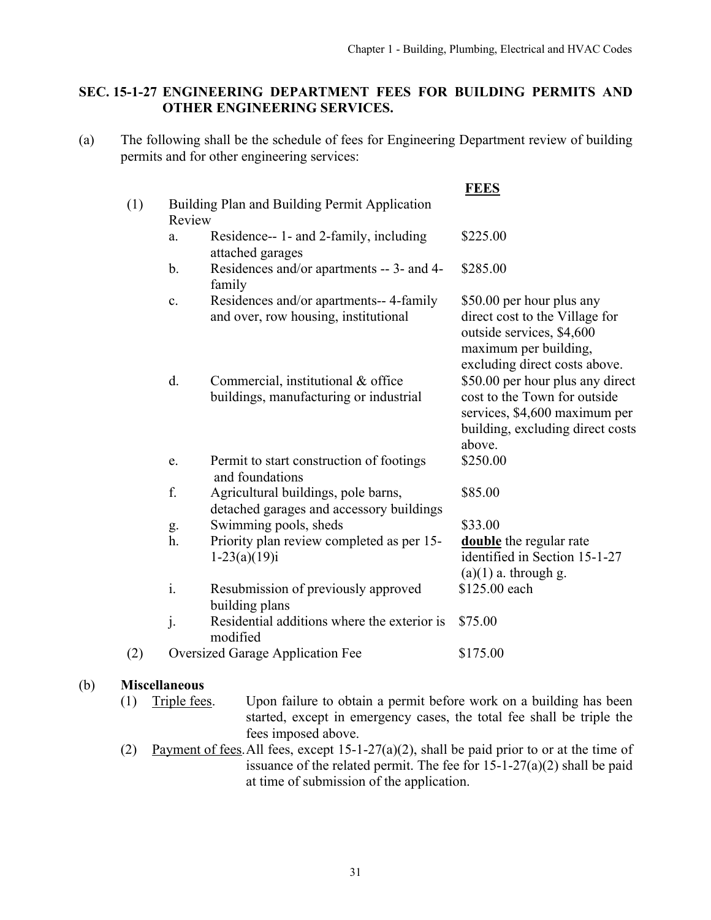# <span id="page-30-0"></span>**SEC. 15-1-27 ENGINEERING DEPARTMENT FEES FOR BUILDING PERMITS AND OTHER ENGINEERING SERVICES.**

(a) The following shall be the schedule of fees for Engineering Department review of building permits and for other engineering services:

|     |                |                                                                                 | <b>FEES</b>                                                                                                                                        |
|-----|----------------|---------------------------------------------------------------------------------|----------------------------------------------------------------------------------------------------------------------------------------------------|
| (1) |                | Building Plan and Building Permit Application                                   |                                                                                                                                                    |
|     | Review         |                                                                                 |                                                                                                                                                    |
|     | a.             | Residence-- 1- and 2-family, including<br>attached garages                      | \$225.00                                                                                                                                           |
|     | $\mathbf{b}$ . | Residences and/or apartments -- 3- and 4-<br>family                             | \$285.00                                                                                                                                           |
|     | c.             | Residences and/or apartments-- 4-family<br>and over, row housing, institutional | \$50.00 per hour plus any<br>direct cost to the Village for<br>outside services, \$4,600<br>maximum per building,<br>excluding direct costs above. |
|     | d.             | Commercial, institutional & office<br>buildings, manufacturing or industrial    | \$50.00 per hour plus any direct<br>cost to the Town for outside<br>services, \$4,600 maximum per<br>building, excluding direct costs<br>above.    |
|     | e.             | Permit to start construction of footings<br>and foundations                     | \$250.00                                                                                                                                           |
|     | f.             | Agricultural buildings, pole barns,<br>detached garages and accessory buildings | \$85.00                                                                                                                                            |
|     | g.             | Swimming pools, sheds                                                           | \$33.00                                                                                                                                            |
|     | h.             | Priority plan review completed as per 15-<br>$1-23(a)(19)i$                     | double the regular rate<br>identified in Section 15-1-27<br>$(a)(1)$ a. through g.                                                                 |
|     | i.             | Resubmission of previously approved<br>building plans                           | \$125.00 each                                                                                                                                      |
|     | j.             | Residential additions where the exterior is<br>modified                         | \$75.00                                                                                                                                            |
| (2) |                | <b>Oversized Garage Application Fee</b>                                         | \$175.00                                                                                                                                           |

# (b) **Miscellaneous**

- (1) Triple fees. Upon failure to obtain a permit before work on a building has been started, except in emergency cases, the total fee shall be triple the fees imposed above.
- (2) Payment of fees. All fees, except  $15$ -1-27(a)(2), shall be paid prior to or at the time of issuance of the related permit. The fee for  $15-1-27(a)(2)$  shall be paid at time of submission of the application.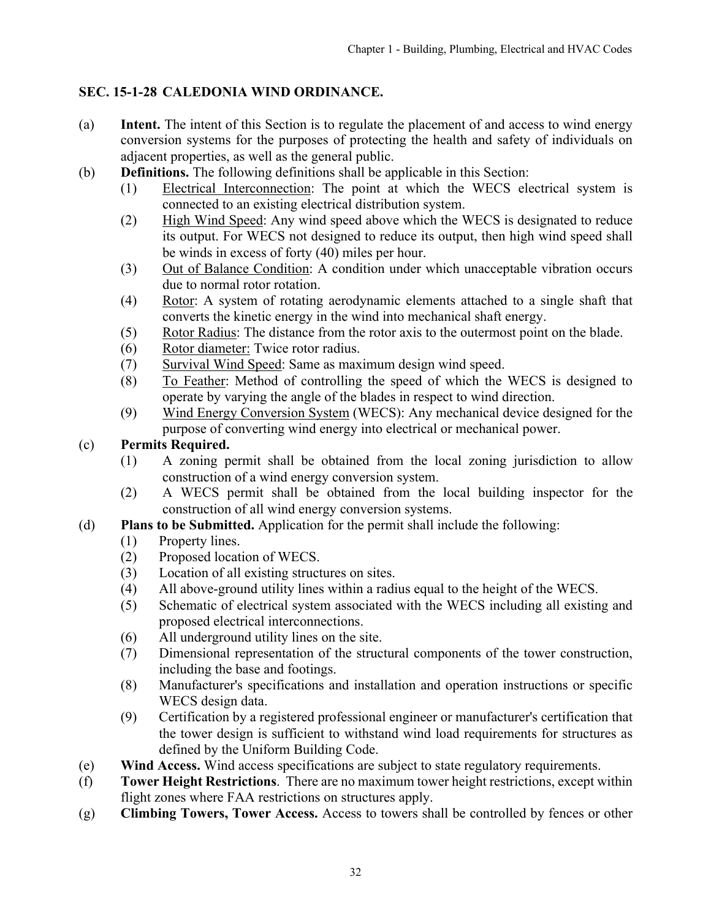# <span id="page-31-0"></span>**SEC. 15-1-28 CALEDONIA WIND ORDINANCE.**

- (a) **Intent.** The intent of this Section is to regulate the placement of and access to wind energy conversion systems for the purposes of protecting the health and safety of individuals on adjacent properties, as well as the general public.
- (b) **Definitions.** The following definitions shall be applicable in this Section:
	- (1) Electrical Interconnection: The point at which the WECS electrical system is connected to an existing electrical distribution system.
	- (2) High Wind Speed: Any wind speed above which the WECS is designated to reduce its output. For WECS not designed to reduce its output, then high wind speed shall be winds in excess of forty (40) miles per hour.
	- (3) Out of Balance Condition: A condition under which unacceptable vibration occurs due to normal rotor rotation.
	- (4) Rotor: A system of rotating aerodynamic elements attached to a single shaft that converts the kinetic energy in the wind into mechanical shaft energy.
	- (5) Rotor Radius: The distance from the rotor axis to the outermost point on the blade.
	- (6) Rotor diameter: Twice rotor radius.
	- (7) Survival Wind Speed: Same as maximum design wind speed.
	- (8) To Feather: Method of controlling the speed of which the WECS is designed to operate by varying the angle of the blades in respect to wind direction.
	- (9) Wind Energy Conversion System (WECS): Any mechanical device designed for the purpose of converting wind energy into electrical or mechanical power.

# (c) **Permits Required.**

- (1) A zoning permit shall be obtained from the local zoning jurisdiction to allow construction of a wind energy conversion system.
- (2) A WECS permit shall be obtained from the local building inspector for the construction of all wind energy conversion systems.
- (d) **Plans to be Submitted.** Application for the permit shall include the following:
	- (1) Property lines.
	- (2) Proposed location of WECS.
	- (3) Location of all existing structures on sites.
	- (4) All above-ground utility lines within a radius equal to the height of the WECS.
	- (5) Schematic of electrical system associated with the WECS including all existing and proposed electrical interconnections.
	- (6) All underground utility lines on the site.
	- (7) Dimensional representation of the structural components of the tower construction, including the base and footings.
	- (8) Manufacturer's specifications and installation and operation instructions or specific WECS design data.
	- (9) Certification by a registered professional engineer or manufacturer's certification that the tower design is sufficient to withstand wind load requirements for structures as defined by the Uniform Building Code.
- (e) **Wind Access.** Wind access specifications are subject to state regulatory requirements.
- (f) **Tower Height Restrictions**. There are no maximum tower height restrictions, except within flight zones where FAA restrictions on structures apply.
- (g) **Climbing Towers, Tower Access.** Access to towers shall be controlled by fences or other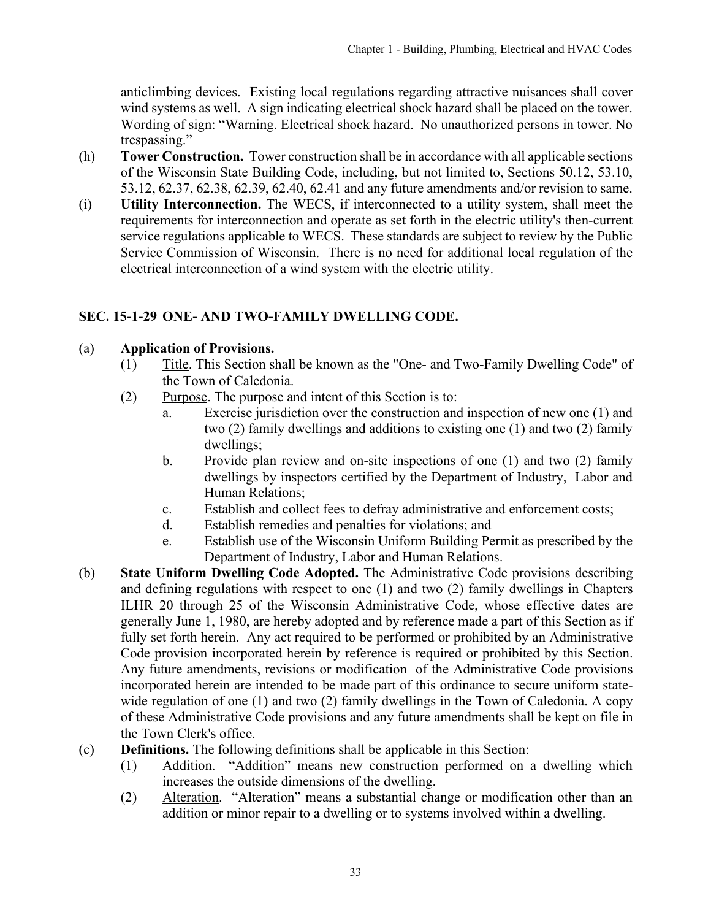<span id="page-32-0"></span>anticlimbing devices. Existing local regulations regarding attractive nuisances shall cover wind systems as well. A sign indicating electrical shock hazard shall be placed on the tower. Wording of sign: "Warning. Electrical shock hazard. No unauthorized persons in tower. No trespassing."

- (h) **Tower Construction.** Tower construction shall be in accordance with all applicable sections of the Wisconsin State Building Code, including, but not limited to, Sections 50.12, 53.10, 53.12, 62.37, 62.38, 62.39, 62.40, 62.41 and any future amendments and/or revision to same.
- (i) **Utility Interconnection.** The WECS, if interconnected to a utility system, shall meet the requirements for interconnection and operate as set forth in the electric utility's then-current service regulations applicable to WECS. These standards are subject to review by the Public Service Commission of Wisconsin. There is no need for additional local regulation of the electrical interconnection of a wind system with the electric utility.

# **SEC. 15-1-29 ONE- AND TWO-FAMILY DWELLING CODE.**

#### (a) **Application of Provisions.**

- (1) Title. This Section shall be known as the "One- and Two-Family Dwelling Code" of the Town of Caledonia.
- (2) Purpose. The purpose and intent of this Section is to:
	- a. Exercise jurisdiction over the construction and inspection of new one (1) and two (2) family dwellings and additions to existing one (1) and two (2) family dwellings;
	- b. Provide plan review and on-site inspections of one (1) and two (2) family dwellings by inspectors certified by the Department of Industry, Labor and Human Relations;
	- c. Establish and collect fees to defray administrative and enforcement costs;
	- d. Establish remedies and penalties for violations; and
	- e. Establish use of the Wisconsin Uniform Building Permit as prescribed by the Department of Industry, Labor and Human Relations.
- (b) **State Uniform Dwelling Code Adopted.** The Administrative Code provisions describing and defining regulations with respect to one (1) and two (2) family dwellings in Chapters ILHR 20 through 25 of the Wisconsin Administrative Code, whose effective dates are generally June 1, 1980, are hereby adopted and by reference made a part of this Section as if fully set forth herein. Any act required to be performed or prohibited by an Administrative Code provision incorporated herein by reference is required or prohibited by this Section. Any future amendments, revisions or modification of the Administrative Code provisions incorporated herein are intended to be made part of this ordinance to secure uniform statewide regulation of one (1) and two (2) family dwellings in the Town of Caledonia. A copy of these Administrative Code provisions and any future amendments shall be kept on file in the Town Clerk's office.
- (c) **Definitions.** The following definitions shall be applicable in this Section:
	- (1) Addition. "Addition" means new construction performed on a dwelling which increases the outside dimensions of the dwelling.
	- (2) Alteration. "Alteration" means a substantial change or modification other than an addition or minor repair to a dwelling or to systems involved within a dwelling.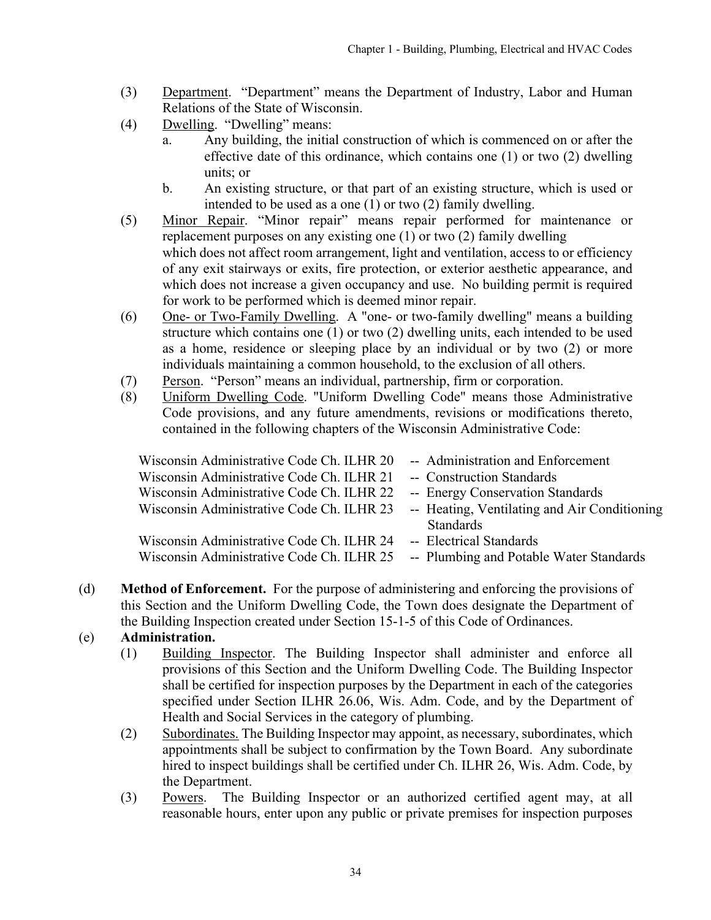- (3) Department. "Department" means the Department of Industry, Labor and Human Relations of the State of Wisconsin.
- (4) Dwelling. "Dwelling" means:
	- a. Any building, the initial construction of which is commenced on or after the effective date of this ordinance, which contains one (1) or two (2) dwelling units; or
	- b. An existing structure, or that part of an existing structure, which is used or intended to be used as a one (1) or two (2) family dwelling.
- (5) Minor Repair. "Minor repair" means repair performed for maintenance or replacement purposes on any existing one (1) or two (2) family dwelling which does not affect room arrangement, light and ventilation, access to or efficiency of any exit stairways or exits, fire protection, or exterior aesthetic appearance, and which does not increase a given occupancy and use. No building permit is required for work to be performed which is deemed minor repair.
- (6) One- or Two-Family Dwelling. A "one- or two-family dwelling" means a building structure which contains one (1) or two (2) dwelling units, each intended to be used as a home, residence or sleeping place by an individual or by two (2) or more individuals maintaining a common household, to the exclusion of all others.
- (7) Person. "Person" means an individual, partnership, firm or corporation.
- (8) Uniform Dwelling Code. "Uniform Dwelling Code" means those Administrative Code provisions, and any future amendments, revisions or modifications thereto, contained in the following chapters of the Wisconsin Administrative Code:

| -- Administration and Enforcement                                                                                                   |
|-------------------------------------------------------------------------------------------------------------------------------------|
| -- Construction Standards                                                                                                           |
| -- Energy Conservation Standards                                                                                                    |
| -- Heating, Ventilating and Air Conditioning<br>Wisconsin Administrative Code Ch. ILHR 23                                           |
| <b>Standards</b>                                                                                                                    |
| -- Electrical Standards                                                                                                             |
| Wisconsin Administrative Code Ch. ILHR 25<br>-- Plumbing and Potable Water Standards                                                |
| Wisconsin Administrative Code Ch. ILHR 20<br>Wisconsin Administrative Code Ch. ILHR 22<br>Wisconsin Administrative Code Ch. ILHR 24 |

(d) **Method of Enforcement.** For the purpose of administering and enforcing the provisions of this Section and the Uniform Dwelling Code, the Town does designate the Department of the Building Inspection created under Section 15-1-5 of this Code of Ordinances.

# (e) **Administration.**

- (1) Building Inspector. The Building Inspector shall administer and enforce all provisions of this Section and the Uniform Dwelling Code. The Building Inspector shall be certified for inspection purposes by the Department in each of the categories specified under Section ILHR 26.06, Wis. Adm. Code, and by the Department of Health and Social Services in the category of plumbing.
- (2) Subordinates. The Building Inspector may appoint, as necessary, subordinates, which appointments shall be subject to confirmation by the Town Board. Any subordinate hired to inspect buildings shall be certified under Ch. ILHR 26, Wis. Adm. Code, by the Department.
- (3) Powers. The Building Inspector or an authorized certified agent may, at all reasonable hours, enter upon any public or private premises for inspection purposes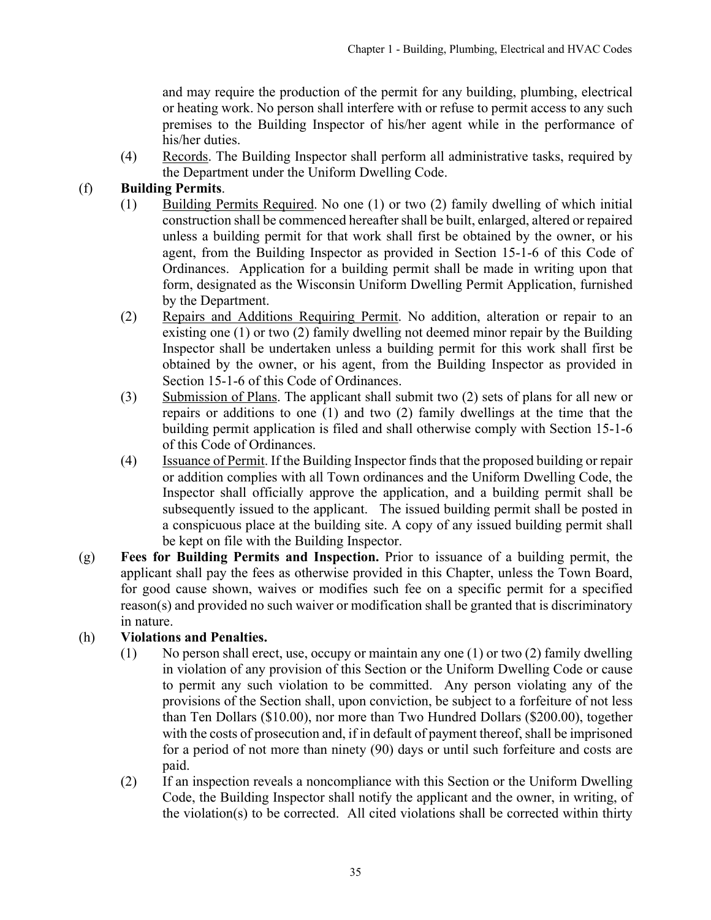and may require the production of the permit for any building, plumbing, electrical or heating work. No person shall interfere with or refuse to permit access to any such premises to the Building Inspector of his/her agent while in the performance of his/her duties.

(4) Records. The Building Inspector shall perform all administrative tasks, required by the Department under the Uniform Dwelling Code.

# (f) **Building Permits**.

- (1) Building Permits Required. No one (1) or two (2) family dwelling of which initial construction shall be commenced hereafter shall be built, enlarged, altered or repaired unless a building permit for that work shall first be obtained by the owner, or his agent, from the Building Inspector as provided in Section 15-1-6 of this Code of Ordinances. Application for a building permit shall be made in writing upon that form, designated as the Wisconsin Uniform Dwelling Permit Application, furnished by the Department.
- (2) Repairs and Additions Requiring Permit. No addition, alteration or repair to an existing one (1) or two (2) family dwelling not deemed minor repair by the Building Inspector shall be undertaken unless a building permit for this work shall first be obtained by the owner, or his agent, from the Building Inspector as provided in Section 15-1-6 of this Code of Ordinances.
- (3) Submission of Plans. The applicant shall submit two (2) sets of plans for all new or repairs or additions to one (1) and two (2) family dwellings at the time that the building permit application is filed and shall otherwise comply with Section 15-1-6 of this Code of Ordinances.
- (4) Issuance of Permit. If the Building Inspector finds that the proposed building or repair or addition complies with all Town ordinances and the Uniform Dwelling Code, the Inspector shall officially approve the application, and a building permit shall be subsequently issued to the applicant. The issued building permit shall be posted in a conspicuous place at the building site. A copy of any issued building permit shall be kept on file with the Building Inspector.
- (g) **Fees for Building Permits and Inspection.** Prior to issuance of a building permit, the applicant shall pay the fees as otherwise provided in this Chapter, unless the Town Board, for good cause shown, waives or modifies such fee on a specific permit for a specified reason(s) and provided no such waiver or modification shall be granted that is discriminatory in nature.

# (h) **Violations and Penalties.**

- (1) No person shall erect, use, occupy or maintain any one (1) or two (2) family dwelling in violation of any provision of this Section or the Uniform Dwelling Code or cause to permit any such violation to be committed. Any person violating any of the provisions of the Section shall, upon conviction, be subject to a forfeiture of not less than Ten Dollars (\$10.00), nor more than Two Hundred Dollars (\$200.00), together with the costs of prosecution and, if in default of payment thereof, shall be imprisoned for a period of not more than ninety (90) days or until such forfeiture and costs are paid.
- (2) If an inspection reveals a noncompliance with this Section or the Uniform Dwelling Code, the Building Inspector shall notify the applicant and the owner, in writing, of the violation(s) to be corrected. All cited violations shall be corrected within thirty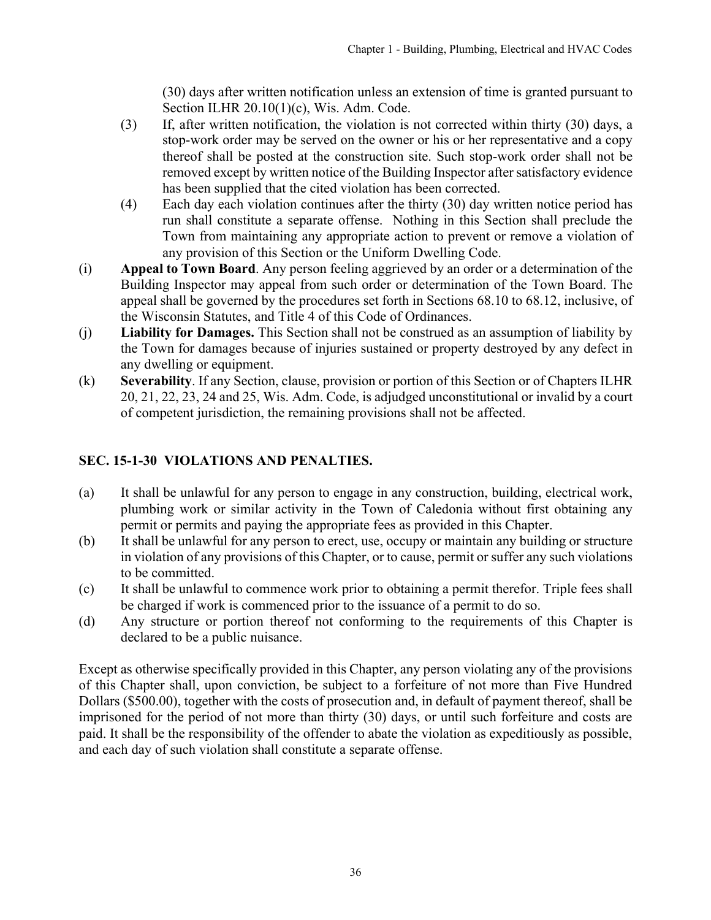(30) days after written notification unless an extension of time is granted pursuant to Section ILHR 20.10(1)(c), Wis. Adm. Code.

- <span id="page-35-0"></span>(3) If, after written notification, the violation is not corrected within thirty (30) days, a stop-work order may be served on the owner or his or her representative and a copy thereof shall be posted at the construction site. Such stop-work order shall not be removed except by written notice of the Building Inspector after satisfactory evidence has been supplied that the cited violation has been corrected.
- (4) Each day each violation continues after the thirty (30) day written notice period has run shall constitute a separate offense. Nothing in this Section shall preclude the Town from maintaining any appropriate action to prevent or remove a violation of any provision of this Section or the Uniform Dwelling Code.
- (i) **Appeal to Town Board**. Any person feeling aggrieved by an order or a determination of the Building Inspector may appeal from such order or determination of the Town Board. The appeal shall be governed by the procedures set forth in Sections 68.10 to 68.12, inclusive, of the Wisconsin Statutes, and Title 4 of this Code of Ordinances.
- (j) **Liability for Damages.** This Section shall not be construed as an assumption of liability by the Town for damages because of injuries sustained or property destroyed by any defect in any dwelling or equipment.
- (k) **Severability**. If any Section, clause, provision or portion of this Section or of Chapters ILHR 20, 21, 22, 23, 24 and 25, Wis. Adm. Code, is adjudged unconstitutional or invalid by a court of competent jurisdiction, the remaining provisions shall not be affected.

# **SEC. 15-1-30 VIOLATIONS AND PENALTIES.**

- (a) It shall be unlawful for any person to engage in any construction, building, electrical work, plumbing work or similar activity in the Town of Caledonia without first obtaining any permit or permits and paying the appropriate fees as provided in this Chapter.
- (b) It shall be unlawful for any person to erect, use, occupy or maintain any building or structure in violation of any provisions of this Chapter, or to cause, permit or suffer any such violations to be committed.
- (c) It shall be unlawful to commence work prior to obtaining a permit therefor. Triple fees shall be charged if work is commenced prior to the issuance of a permit to do so.
- (d) Any structure or portion thereof not conforming to the requirements of this Chapter is declared to be a public nuisance.

Except as otherwise specifically provided in this Chapter, any person violating any of the provisions of this Chapter shall, upon conviction, be subject to a forfeiture of not more than Five Hundred Dollars (\$500.00), together with the costs of prosecution and, in default of payment thereof, shall be imprisoned for the period of not more than thirty (30) days, or until such forfeiture and costs are paid. It shall be the responsibility of the offender to abate the violation as expeditiously as possible, and each day of such violation shall constitute a separate offense.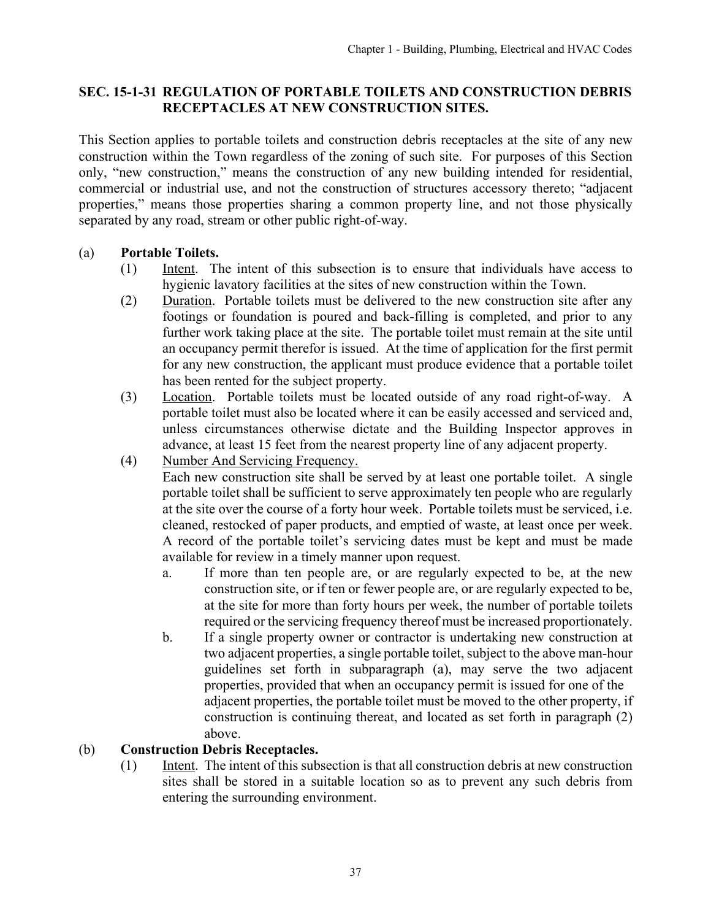#### <span id="page-36-0"></span>**SEC. 15-1-31 REGULATION OF PORTABLE TOILETS AND CONSTRUCTION DEBRIS RECEPTACLES AT NEW CONSTRUCTION SITES.**

This Section applies to portable toilets and construction debris receptacles at the site of any new construction within the Town regardless of the zoning of such site. For purposes of this Section only, "new construction," means the construction of any new building intended for residential, commercial or industrial use, and not the construction of structures accessory thereto; "adjacent properties," means those properties sharing a common property line, and not those physically separated by any road, stream or other public right-of-way.

# (a) **Portable Toilets.**

- (1) Intent. The intent of this subsection is to ensure that individuals have access to hygienic lavatory facilities at the sites of new construction within the Town.
- (2) Duration. Portable toilets must be delivered to the new construction site after any footings or foundation is poured and back-filling is completed, and prior to any further work taking place at the site. The portable toilet must remain at the site until an occupancy permit therefor is issued. At the time of application for the first permit for any new construction, the applicant must produce evidence that a portable toilet has been rented for the subject property.
- (3) Location. Portable toilets must be located outside of any road right-of-way. A portable toilet must also be located where it can be easily accessed and serviced and, unless circumstances otherwise dictate and the Building Inspector approves in advance, at least 15 feet from the nearest property line of any adjacent property.
- (4) Number And Servicing Frequency.

Each new construction site shall be served by at least one portable toilet. A single portable toilet shall be sufficient to serve approximately ten people who are regularly at the site over the course of a forty hour week. Portable toilets must be serviced, i.e. cleaned, restocked of paper products, and emptied of waste, at least once per week. A record of the portable toilet's servicing dates must be kept and must be made available for review in a timely manner upon request.

- a. If more than ten people are, or are regularly expected to be, at the new construction site, or if ten or fewer people are, or are regularly expected to be, at the site for more than forty hours per week, the number of portable toilets required or the servicing frequency thereof must be increased proportionately.
- b. If a single property owner or contractor is undertaking new construction at two adjacent properties, a single portable toilet, subject to the above man-hour guidelines set forth in subparagraph (a), may serve the two adjacent properties, provided that when an occupancy permit is issued for one of the adjacent properties, the portable toilet must be moved to the other property, if construction is continuing thereat, and located as set forth in paragraph (2) above.

#### (b) **Construction Debris Receptacles.**

(1) Intent. The intent of this subsection is that all construction debris at new construction sites shall be stored in a suitable location so as to prevent any such debris from entering the surrounding environment.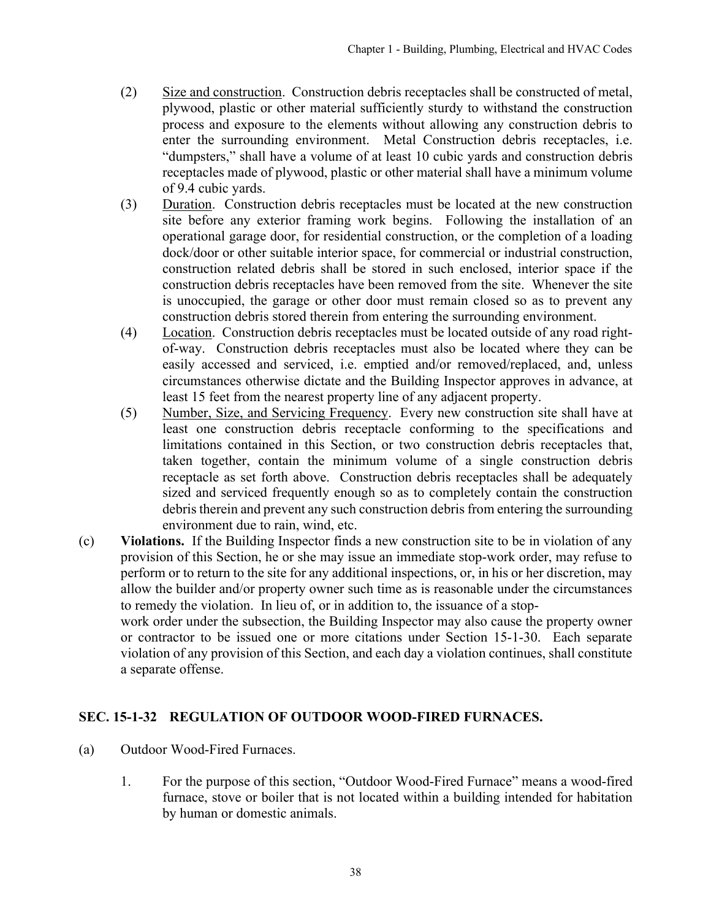- (2) Size and construction. Construction debris receptacles shall be constructed of metal, plywood, plastic or other material sufficiently sturdy to withstand the construction process and exposure to the elements without allowing any construction debris to enter the surrounding environment. Metal Construction debris receptacles, i.e. "dumpsters," shall have a volume of at least 10 cubic yards and construction debris receptacles made of plywood, plastic or other material shall have a minimum volume of 9.4 cubic yards.
- (3) Duration. Construction debris receptacles must be located at the new construction site before any exterior framing work begins. Following the installation of an operational garage door, for residential construction, or the completion of a loading dock/door or other suitable interior space, for commercial or industrial construction, construction related debris shall be stored in such enclosed, interior space if the construction debris receptacles have been removed from the site. Whenever the site is unoccupied, the garage or other door must remain closed so as to prevent any construction debris stored therein from entering the surrounding environment.
- (4) Location. Construction debris receptacles must be located outside of any road rightof-way. Construction debris receptacles must also be located where they can be easily accessed and serviced, i.e. emptied and/or removed/replaced, and, unless circumstances otherwise dictate and the Building Inspector approves in advance, at least 15 feet from the nearest property line of any adjacent property.
- (5) Number, Size, and Servicing Frequency. Every new construction site shall have at least one construction debris receptacle conforming to the specifications and limitations contained in this Section, or two construction debris receptacles that, taken together, contain the minimum volume of a single construction debris receptacle as set forth above. Construction debris receptacles shall be adequately sized and serviced frequently enough so as to completely contain the construction debris therein and prevent any such construction debris from entering the surrounding environment due to rain, wind, etc.
- (c) **Violations.** If the Building Inspector finds a new construction site to be in violation of any provision of this Section, he or she may issue an immediate stop-work order, may refuse to perform or to return to the site for any additional inspections, or, in his or her discretion, may allow the builder and/or property owner such time as is reasonable under the circumstances to remedy the violation. In lieu of, or in addition to, the issuance of a stop-

work order under the subsection, the Building Inspector may also cause the property owner or contractor to be issued one or more citations under Section 15-1-30. Each separate violation of any provision of this Section, and each day a violation continues, shall constitute a separate offense.

# **SEC. 15-1-32 REGULATION OF OUTDOOR WOOD-FIRED FURNACES.**

- (a) Outdoor Wood-Fired Furnaces.
	- 1. For the purpose of this section, "Outdoor Wood-Fired Furnace" means a wood-fired furnace, stove or boiler that is not located within a building intended for habitation by human or domestic animals.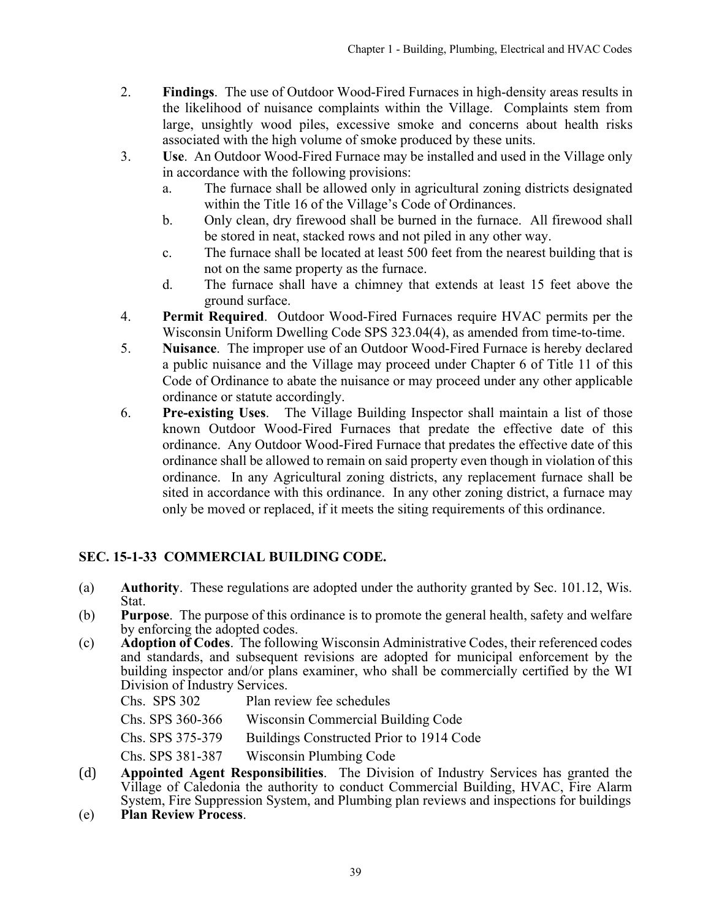- <span id="page-38-0"></span>2. **Findings**. The use of Outdoor Wood-Fired Furnaces in high-density areas results in the likelihood of nuisance complaints within the Village. Complaints stem from large, unsightly wood piles, excessive smoke and concerns about health risks associated with the high volume of smoke produced by these units.
- 3. **Use**. An Outdoor Wood-Fired Furnace may be installed and used in the Village only in accordance with the following provisions:
	- a. The furnace shall be allowed only in agricultural zoning districts designated within the Title 16 of the Village's Code of Ordinances.
	- b. Only clean, dry firewood shall be burned in the furnace. All firewood shall be stored in neat, stacked rows and not piled in any other way.
	- c. The furnace shall be located at least 500 feet from the nearest building that is not on the same property as the furnace.
	- d. The furnace shall have a chimney that extends at least 15 feet above the ground surface.
- 4. **Permit Required**. Outdoor Wood-Fired Furnaces require HVAC permits per the Wisconsin Uniform Dwelling Code SPS 323.04(4), as amended from time-to-time.
- 5. **Nuisance**. The improper use of an Outdoor Wood-Fired Furnace is hereby declared a public nuisance and the Village may proceed under Chapter 6 of Title 11 of this Code of Ordinance to abate the nuisance or may proceed under any other applicable ordinance or statute accordingly.
- 6. **Pre-existing Uses**. The Village Building Inspector shall maintain a list of those known Outdoor Wood-Fired Furnaces that predate the effective date of this ordinance. Any Outdoor Wood-Fired Furnace that predates the effective date of this ordinance shall be allowed to remain on said property even though in violation of this ordinance. In any Agricultural zoning districts, any replacement furnace shall be sited in accordance with this ordinance. In any other zoning district, a furnace may only be moved or replaced, if it meets the siting requirements of this ordinance.

# **SEC. 15-1-33 COMMERCIAL BUILDING CODE.**

- (a) **Authority**. These regulations are adopted under the authority granted by Sec. 101.12, Wis. Stat.
- (b) **Purpose**. The purpose of this ordinance is to promote the general health, safety and welfare by enforcing the adopted codes.
- (c) **Adoption of Codes**. The following Wisconsin Administrative Codes, their referenced codes and standards, and subsequent revisions are adopted for municipal enforcement by the building inspector and/or plans examiner, who shall be commercially certified by the WI Division of Industry Services.

| Chs. SPS 302     | Plan review fee schedules                |
|------------------|------------------------------------------|
| Chs. SPS 360-366 | Wisconsin Commercial Building Code       |
| Chs. SPS 375-379 | Buildings Constructed Prior to 1914 Code |
| Chs. SPS 381-387 | Wisconsin Plumbing Code                  |

- (d) **Appointed Agent Responsibilities**. The Division of Industry Services has granted the Village of Caledonia the authority to conduct Commercial Building, HVAC, Fire Alarm System, Fire Suppression System, and Plumbing plan reviews and inspections for buildings
- (e) **Plan Review Process**.